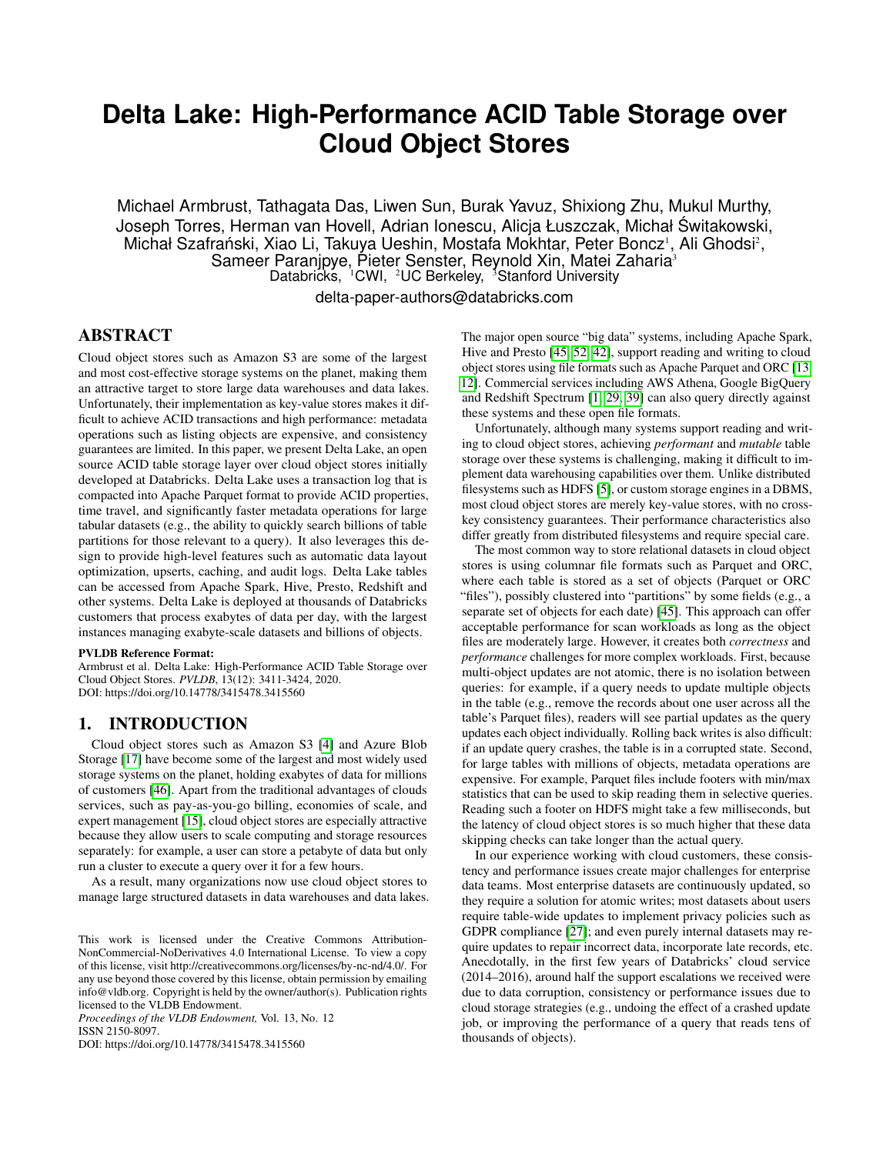# **Delta Lake: High-Performance ACID Table Storage over Cloud Object Stores**

Michael Armbrust, Tathagata Das, Liwen Sun, Burak Yavuz, Shixiong Zhu, Mukul Murthy, Joseph Torres, Herman van Hovell, Adrian Ionescu, Alicja Łuszczak, Michał Switakowski, ´ Michał Szafrański, Xiao Li, Takuya Ueshin, Mostafa Mokhtar, Peter Boncz<sup>1</sup>, Ali Ghodsi<sup>2</sup>, Sameer Paranjpye, Pieter Senster, Reynold Xin, Matei Zaharia<sup>3</sup> Databricks, <sup>1</sup>CWI, <sup>2</sup>UC Berkeley, <sup>3</sup>Stanford University delta-paper-authors@databricks.com

# ABSTRACT

Cloud object stores such as Amazon S3 are some of the largest and most cost-effective storage systems on the planet, making them an attractive target to store large data warehouses and data lakes. Unfortunately, their implementation as key-value stores makes it difficult to achieve ACID transactions and high performance: metadata operations such as listing objects are expensive, and consistency guarantees are limited. In this paper, we present Delta Lake, an open source ACID table storage layer over cloud object stores initially developed at Databricks. Delta Lake uses a transaction log that is compacted into Apache Parquet format to provide ACID properties, time travel, and significantly faster metadata operations for large tabular datasets (e.g., the ability to quickly search billions of table partitions for those relevant to a query). It also leverages this design to provide high-level features such as automatic data layout optimization, upserts, caching, and audit logs. Delta Lake tables can be accessed from Apache Spark, Hive, Presto, Redshift and other systems. Delta Lake is deployed at thousands of Databricks customers that process exabytes of data per day, with the largest instances managing exabyte-scale datasets and billions of objects.

#### PVLDB Reference Format:

Armbrust et al. Delta Lake: High-Performance ACID Table Storage over Cloud Object Stores. *PVLDB*, 13(12): 3411-3424, 2020. DOI: https://doi.org/10.14778/3415478.3415560

#### 1. INTRODUCTION

Cloud object stores such as Amazon S3 [\[4\]](#page-12-0) and Azure Blob Storage [\[17\]](#page-12-1) have become some of the largest and most widely used storage systems on the planet, holding exabytes of data for millions of customers [\[46\]](#page-13-0). Apart from the traditional advantages of clouds services, such as pay-as-you-go billing, economies of scale, and expert management [\[15\]](#page-12-2), cloud object stores are especially attractive because they allow users to scale computing and storage resources separately: for example, a user can store a petabyte of data but only run a cluster to execute a query over it for a few hours.

As a result, many organizations now use cloud object stores to manage large structured datasets in data warehouses and data lakes.

*Proceedings of the VLDB Endowment,* Vol. 13, No. 12 ISSN 2150-8097.

DOI: https://doi.org/10.14778/3415478.3415560

The major open source "big data" systems, including Apache Spark, Hive and Presto [\[45,](#page-13-1) [52,](#page-13-2) [42\]](#page-12-3), support reading and writing to cloud object stores using file formats such as Apache Parquet and ORC [\[13,](#page-12-4) [12\]](#page-12-5). Commercial services including AWS Athena, Google BigQuery and Redshift Spectrum [\[1,](#page-12-6) [29,](#page-12-7) [39\]](#page-12-8) can also query directly against these systems and these open file formats.

Unfortunately, although many systems support reading and writing to cloud object stores, achieving *performant* and *mutable* table storage over these systems is challenging, making it difficult to implement data warehousing capabilities over them. Unlike distributed filesystems such as HDFS [\[5\]](#page-12-9), or custom storage engines in a DBMS, most cloud object stores are merely key-value stores, with no crosskey consistency guarantees. Their performance characteristics also differ greatly from distributed filesystems and require special care.

The most common way to store relational datasets in cloud object stores is using columnar file formats such as Parquet and ORC, where each table is stored as a set of objects (Parquet or ORC "files"), possibly clustered into "partitions" by some fields (e.g., a separate set of objects for each date) [\[45\]](#page-13-1). This approach can offer acceptable performance for scan workloads as long as the object files are moderately large. However, it creates both *correctness* and *performance* challenges for more complex workloads. First, because multi-object updates are not atomic, there is no isolation between queries: for example, if a query needs to update multiple objects in the table (e.g., remove the records about one user across all the table's Parquet files), readers will see partial updates as the query updates each object individually. Rolling back writes is also difficult: if an update query crashes, the table is in a corrupted state. Second, for large tables with millions of objects, metadata operations are expensive. For example, Parquet files include footers with min/max statistics that can be used to skip reading them in selective queries. Reading such a footer on HDFS might take a few milliseconds, but the latency of cloud object stores is so much higher that these data skipping checks can take longer than the actual query.

In our experience working with cloud customers, these consistency and performance issues create major challenges for enterprise data teams. Most enterprise datasets are continuously updated, so they require a solution for atomic writes; most datasets about users require table-wide updates to implement privacy policies such as GDPR compliance [\[27\]](#page-12-10); and even purely internal datasets may require updates to repair incorrect data, incorporate late records, etc. Anecdotally, in the first few years of Databricks' cloud service (2014–2016), around half the support escalations we received were due to data corruption, consistency or performance issues due to cloud storage strategies (e.g., undoing the effect of a crashed update job, or improving the performance of a query that reads tens of thousands of objects).

This work is licensed under the Creative Commons Attribution-NonCommercial-NoDerivatives 4.0 International License. To view a copy of this license, visit http://creativecommons.org/licenses/by-nc-nd/4.0/. For any use beyond those covered by this license, obtain permission by emailing info@vldb.org. Copyright is held by the owner/author(s). Publication rights licensed to the VLDB Endowment.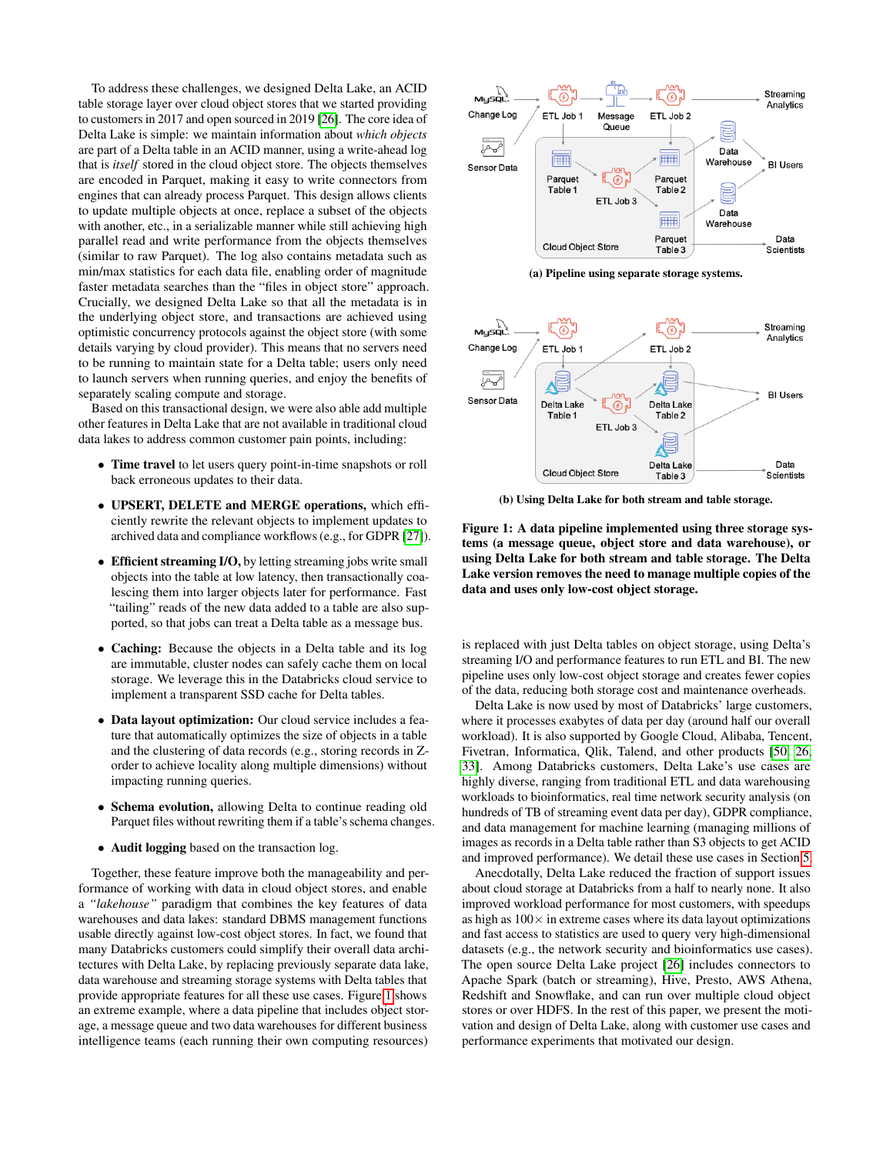To address these challenges, we designed Delta Lake, an ACID table storage layer over cloud object stores that we started providing to customers in 2017 and open sourced in 2019 [\[26\]](#page-12-11). The core idea of Delta Lake is simple: we maintain information about *which objects* are part of a Delta table in an ACID manner, using a write-ahead log that is *itself* stored in the cloud object store. The objects themselves are encoded in Parquet, making it easy to write connectors from engines that can already process Parquet. This design allows clients to update multiple objects at once, replace a subset of the objects with another, etc., in a serializable manner while still achieving high parallel read and write performance from the objects themselves (similar to raw Parquet). The log also contains metadata such as min/max statistics for each data file, enabling order of magnitude faster metadata searches than the "files in object store" approach. Crucially, we designed Delta Lake so that all the metadata is in the underlying object store, and transactions are achieved using optimistic concurrency protocols against the object store (with some details varying by cloud provider). This means that no servers need to be running to maintain state for a Delta table; users only need to launch servers when running queries, and enjoy the benefits of separately scaling compute and storage.

Based on this transactional design, we were also able add multiple other features in Delta Lake that are not available in traditional cloud data lakes to address common customer pain points, including:

- Time travel to let users query point-in-time snapshots or roll back erroneous updates to their data.
- UPSERT, DELETE and MERGE operations, which efficiently rewrite the relevant objects to implement updates to archived data and compliance workflows (e.g., for GDPR [\[27\]](#page-12-10)).
- Efficient streaming I/O, by letting streaming jobs write small objects into the table at low latency, then transactionally coalescing them into larger objects later for performance. Fast "tailing" reads of the new data added to a table are also supported, so that jobs can treat a Delta table as a message bus.
- Caching: Because the objects in a Delta table and its log are immutable, cluster nodes can safely cache them on local storage. We leverage this in the Databricks cloud service to implement a transparent SSD cache for Delta tables.
- Data layout optimization: Our cloud service includes a feature that automatically optimizes the size of objects in a table and the clustering of data records (e.g., storing records in Zorder to achieve locality along multiple dimensions) without impacting running queries.
- Schema evolution, allowing Delta to continue reading old Parquet files without rewriting them if a table's schema changes.
- Audit logging based on the transaction log.

Together, these feature improve both the manageability and performance of working with data in cloud object stores, and enable a *"lakehouse"* paradigm that combines the key features of data warehouses and data lakes: standard DBMS management functions usable directly against low-cost object stores. In fact, we found that many Databricks customers could simplify their overall data architectures with Delta Lake, by replacing previously separate data lake, data warehouse and streaming storage systems with Delta tables that provide appropriate features for all these use cases. Figure [1](#page-1-0) shows an extreme example, where a data pipeline that includes object storage, a message queue and two data warehouses for different business intelligence teams (each running their own computing resources)

<span id="page-1-0"></span>

(a) Pipeline using separate storage systems.



(b) Using Delta Lake for both stream and table storage.

Figure 1: A data pipeline implemented using three storage systems (a message queue, object store and data warehouse), or using Delta Lake for both stream and table storage. The Delta Lake version removes the need to manage multiple copies of the data and uses only low-cost object storage.

is replaced with just Delta tables on object storage, using Delta's streaming I/O and performance features to run ETL and BI. The new pipeline uses only low-cost object storage and creates fewer copies of the data, reducing both storage cost and maintenance overheads.

Delta Lake is now used by most of Databricks' large customers, where it processes exabytes of data per day (around half our overall workload). It is also supported by Google Cloud, Alibaba, Tencent, Fivetran, Informatica, Qlik, Talend, and other products [\[50,](#page-13-3) [26,](#page-12-11) [33\]](#page-12-12). Among Databricks customers, Delta Lake's use cases are highly diverse, ranging from traditional ETL and data warehousing workloads to bioinformatics, real time network security analysis (on hundreds of TB of streaming event data per day), GDPR compliance, and data management for machine learning (managing millions of images as records in a Delta table rather than S3 objects to get ACID and improved performance). We detail these use cases in Section [5.](#page-8-0)

Anecdotally, Delta Lake reduced the fraction of support issues about cloud storage at Databricks from a half to nearly none. It also improved workload performance for most customers, with speedups as high as  $100\times$  in extreme cases where its data layout optimizations and fast access to statistics are used to query very high-dimensional datasets (e.g., the network security and bioinformatics use cases). The open source Delta Lake project [\[26\]](#page-12-11) includes connectors to Apache Spark (batch or streaming), Hive, Presto, AWS Athena, Redshift and Snowflake, and can run over multiple cloud object stores or over HDFS. In the rest of this paper, we present the motivation and design of Delta Lake, along with customer use cases and performance experiments that motivated our design.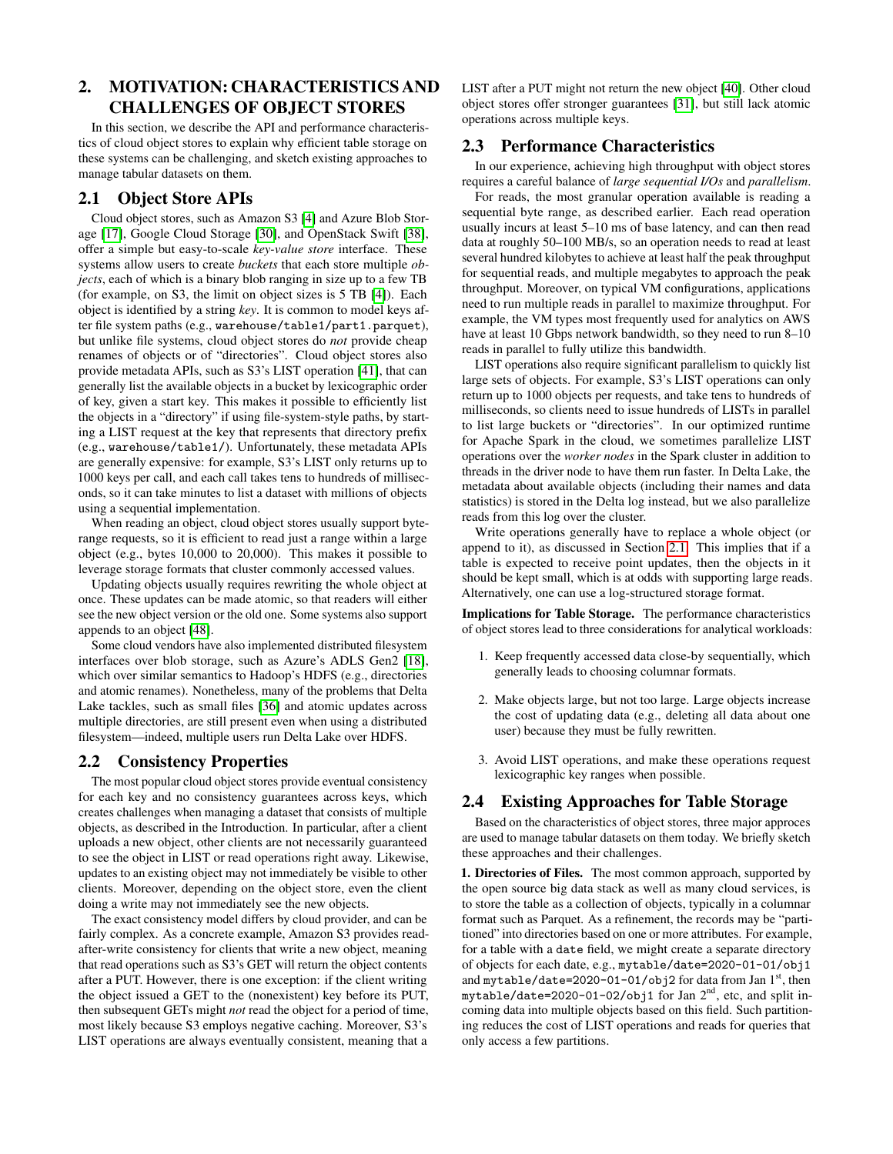# 2. MOTIVATION: CHARACTERISTICS AND CHALLENGES OF OBJECT STORES

In this section, we describe the API and performance characteristics of cloud object stores to explain why efficient table storage on these systems can be challenging, and sketch existing approaches to manage tabular datasets on them.

# <span id="page-2-0"></span>2.1 Object Store APIs

Cloud object stores, such as Amazon S3 [\[4\]](#page-12-0) and Azure Blob Storage [\[17\]](#page-12-1), Google Cloud Storage [\[30\]](#page-12-13), and OpenStack Swift [\[38\]](#page-12-14), offer a simple but easy-to-scale *key-value store* interface. These systems allow users to create *buckets* that each store multiple *objects*, each of which is a binary blob ranging in size up to a few TB (for example, on S3, the limit on object sizes is 5 TB [\[4\]](#page-12-0)). Each object is identified by a string *key*. It is common to model keys after file system paths (e.g., warehouse/table1/part1.parquet), but unlike file systems, cloud object stores do *not* provide cheap renames of objects or of "directories". Cloud object stores also provide metadata APIs, such as S3's LIST operation [\[41\]](#page-12-15), that can generally list the available objects in a bucket by lexicographic order of key, given a start key. This makes it possible to efficiently list the objects in a "directory" if using file-system-style paths, by starting a LIST request at the key that represents that directory prefix (e.g., warehouse/table1/). Unfortunately, these metadata APIs are generally expensive: for example, S3's LIST only returns up to 1000 keys per call, and each call takes tens to hundreds of milliseconds, so it can take minutes to list a dataset with millions of objects using a sequential implementation.

When reading an object, cloud object stores usually support byterange requests, so it is efficient to read just a range within a large object (e.g., bytes 10,000 to 20,000). This makes it possible to leverage storage formats that cluster commonly accessed values.

Updating objects usually requires rewriting the whole object at once. These updates can be made atomic, so that readers will either see the new object version or the old one. Some systems also support appends to an object [\[48\]](#page-13-4).

Some cloud vendors have also implemented distributed filesystem interfaces over blob storage, such as Azure's ADLS Gen2 [\[18\]](#page-12-16), which over similar semantics to Hadoop's HDFS (e.g., directories and atomic renames). Nonetheless, many of the problems that Delta Lake tackles, such as small files [\[36\]](#page-12-17) and atomic updates across multiple directories, are still present even when using a distributed filesystem—indeed, multiple users run Delta Lake over HDFS.

# 2.2 Consistency Properties

The most popular cloud object stores provide eventual consistency for each key and no consistency guarantees across keys, which creates challenges when managing a dataset that consists of multiple objects, as described in the Introduction. In particular, after a client uploads a new object, other clients are not necessarily guaranteed to see the object in LIST or read operations right away. Likewise, updates to an existing object may not immediately be visible to other clients. Moreover, depending on the object store, even the client doing a write may not immediately see the new objects.

The exact consistency model differs by cloud provider, and can be fairly complex. As a concrete example, Amazon S3 provides readafter-write consistency for clients that write a new object, meaning that read operations such as S3's GET will return the object contents after a PUT. However, there is one exception: if the client writing the object issued a GET to the (nonexistent) key before its PUT, then subsequent GETs might *not* read the object for a period of time, most likely because S3 employs negative caching. Moreover, S3's LIST operations are always eventually consistent, meaning that a LIST after a PUT might not return the new object [\[40\]](#page-12-18). Other cloud object stores offer stronger guarantees [\[31\]](#page-12-19), but still lack atomic operations across multiple keys.

## 2.3 Performance Characteristics

In our experience, achieving high throughput with object stores requires a careful balance of *large sequential I/Os* and *parallelism*.

For reads, the most granular operation available is reading a sequential byte range, as described earlier. Each read operation usually incurs at least 5–10 ms of base latency, and can then read data at roughly 50–100 MB/s, so an operation needs to read at least several hundred kilobytes to achieve at least half the peak throughput for sequential reads, and multiple megabytes to approach the peak throughput. Moreover, on typical VM configurations, applications need to run multiple reads in parallel to maximize throughput. For example, the VM types most frequently used for analytics on AWS have at least 10 Gbps network bandwidth, so they need to run 8–10 reads in parallel to fully utilize this bandwidth.

LIST operations also require significant parallelism to quickly list large sets of objects. For example, S3's LIST operations can only return up to 1000 objects per requests, and take tens to hundreds of milliseconds, so clients need to issue hundreds of LISTs in parallel to list large buckets or "directories". In our optimized runtime for Apache Spark in the cloud, we sometimes parallelize LIST operations over the *worker nodes* in the Spark cluster in addition to threads in the driver node to have them run faster. In Delta Lake, the metadata about available objects (including their names and data statistics) is stored in the Delta log instead, but we also parallelize reads from this log over the cluster.

Write operations generally have to replace a whole object (or append to it), as discussed in Section [2.1.](#page-2-0) This implies that if a table is expected to receive point updates, then the objects in it should be kept small, which is at odds with supporting large reads. Alternatively, one can use a log-structured storage format.

Implications for Table Storage. The performance characteristics of object stores lead to three considerations for analytical workloads:

- 1. Keep frequently accessed data close-by sequentially, which generally leads to choosing columnar formats.
- 2. Make objects large, but not too large. Large objects increase the cost of updating data (e.g., deleting all data about one user) because they must be fully rewritten.
- 3. Avoid LIST operations, and make these operations request lexicographic key ranges when possible.

## 2.4 Existing Approaches for Table Storage

Based on the characteristics of object stores, three major approces are used to manage tabular datasets on them today. We briefly sketch these approaches and their challenges.

1. Directories of Files. The most common approach, supported by the open source big data stack as well as many cloud services, is to store the table as a collection of objects, typically in a columnar format such as Parquet. As a refinement, the records may be "partitioned" into directories based on one or more attributes. For example, for a table with a date field, we might create a separate directory of objects for each date, e.g., mytable/date=2020-01-01/obj1 and mytable/date=2020-01-01/obj2 for data from Jan  $1<sup>st</sup>$ , then mytable/date=2020-01-02/obj1 for Jan 2nd, etc, and split incoming data into multiple objects based on this field. Such partitioning reduces the cost of LIST operations and reads for queries that only access a few partitions.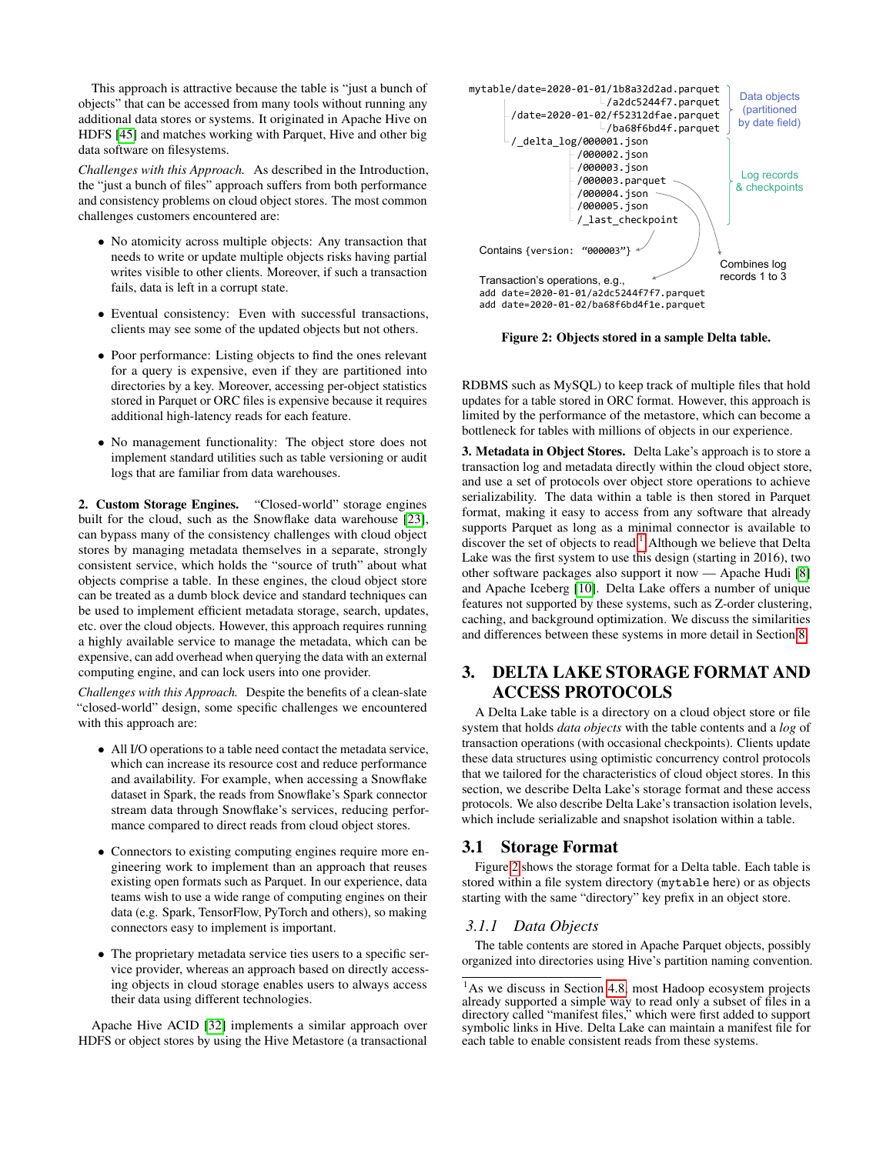This approach is attractive because the table is "just a bunch of objects" that can be accessed from many tools without running any additional data stores or systems. It originated in Apache Hive on HDFS [\[45\]](#page-13-1) and matches working with Parquet, Hive and other big data software on filesystems.

*Challenges with this Approach.* As described in the Introduction, the "just a bunch of files" approach suffers from both performance and consistency problems on cloud object stores. The most common challenges customers encountered are:

- No atomicity across multiple objects: Any transaction that needs to write or update multiple objects risks having partial writes visible to other clients. Moreover, if such a transaction fails, data is left in a corrupt state.
- Eventual consistency: Even with successful transactions, clients may see some of the updated objects but not others.
- Poor performance: Listing objects to find the ones relevant for a query is expensive, even if they are partitioned into directories by a key. Moreover, accessing per-object statistics stored in Parquet or ORC files is expensive because it requires additional high-latency reads for each feature.
- No management functionality: The object store does not implement standard utilities such as table versioning or audit logs that are familiar from data warehouses.

2. Custom Storage Engines. "Closed-world" storage engines built for the cloud, such as the Snowflake data warehouse [\[23\]](#page-12-20), can bypass many of the consistency challenges with cloud object stores by managing metadata themselves in a separate, strongly consistent service, which holds the "source of truth" about what objects comprise a table. In these engines, the cloud object store can be treated as a dumb block device and standard techniques can be used to implement efficient metadata storage, search, updates, etc. over the cloud objects. However, this approach requires running a highly available service to manage the metadata, which can be expensive, can add overhead when querying the data with an external computing engine, and can lock users into one provider.

*Challenges with this Approach.* Despite the benefits of a clean-slate "closed-world" design, some specific challenges we encountered with this approach are:

- All I/O operations to a table need contact the metadata service, which can increase its resource cost and reduce performance and availability. For example, when accessing a Snowflake dataset in Spark, the reads from Snowflake's Spark connector stream data through Snowflake's services, reducing performance compared to direct reads from cloud object stores.
- Connectors to existing computing engines require more engineering work to implement than an approach that reuses existing open formats such as Parquet. In our experience, data teams wish to use a wide range of computing engines on their data (e.g. Spark, TensorFlow, PyTorch and others), so making connectors easy to implement is important.
- The proprietary metadata service ties users to a specific service provider, whereas an approach based on directly accessing objects in cloud storage enables users to always access their data using different technologies.

Apache Hive ACID [\[32\]](#page-12-21) implements a similar approach over HDFS or object stores by using the Hive Metastore (a transactional

<span id="page-3-1"></span>

Figure 2: Objects stored in a sample Delta table.

RDBMS such as MySQL) to keep track of multiple files that hold updates for a table stored in ORC format. However, this approach is limited by the performance of the metastore, which can become a bottleneck for tables with millions of objects in our experience.

3. Metadata in Object Stores. Delta Lake's approach is to store a transaction log and metadata directly within the cloud object store, and use a set of protocols over object store operations to achieve serializability. The data within a table is then stored in Parquet format, making it easy to access from any software that already supports Parquet as long as a minimal connector is available to discover the set of objects to read.<sup>[1](#page-3-0)</sup> Although we believe that Delta Lake was the first system to use this design (starting in 2016), two other software packages also support it now — Apache Hudi [\[8\]](#page-12-22) and Apache Iceberg [\[10\]](#page-12-23). Delta Lake offers a number of unique features not supported by these systems, such as Z-order clustering, caching, and background optimization. We discuss the similarities and differences between these systems in more detail in Section [8.](#page-11-0)

# 3. DELTA LAKE STORAGE FORMAT AND ACCESS PROTOCOLS

A Delta Lake table is a directory on a cloud object store or file system that holds *data objects* with the table contents and a *log* of transaction operations (with occasional checkpoints). Clients update these data structures using optimistic concurrency control protocols that we tailored for the characteristics of cloud object stores. In this section, we describe Delta Lake's storage format and these access protocols. We also describe Delta Lake's transaction isolation levels, which include serializable and snapshot isolation within a table.

## 3.1 Storage Format

Figure [2](#page-3-1) shows the storage format for a Delta table. Each table is stored within a file system directory (mytable here) or as objects starting with the same "directory" key prefix in an object store.

#### *3.1.1 Data Objects*

The table contents are stored in Apache Parquet objects, possibly organized into directories using Hive's partition naming convention.

<span id="page-3-0"></span><sup>&</sup>lt;sup>1</sup>As we discuss in Section [4.8,](#page-8-1) most Hadoop ecosystem projects already supported a simple way to read only a subset of files in a directory called "manifest files," which were first added to support symbolic links in Hive. Delta Lake can maintain a manifest file for each table to enable consistent reads from these systems.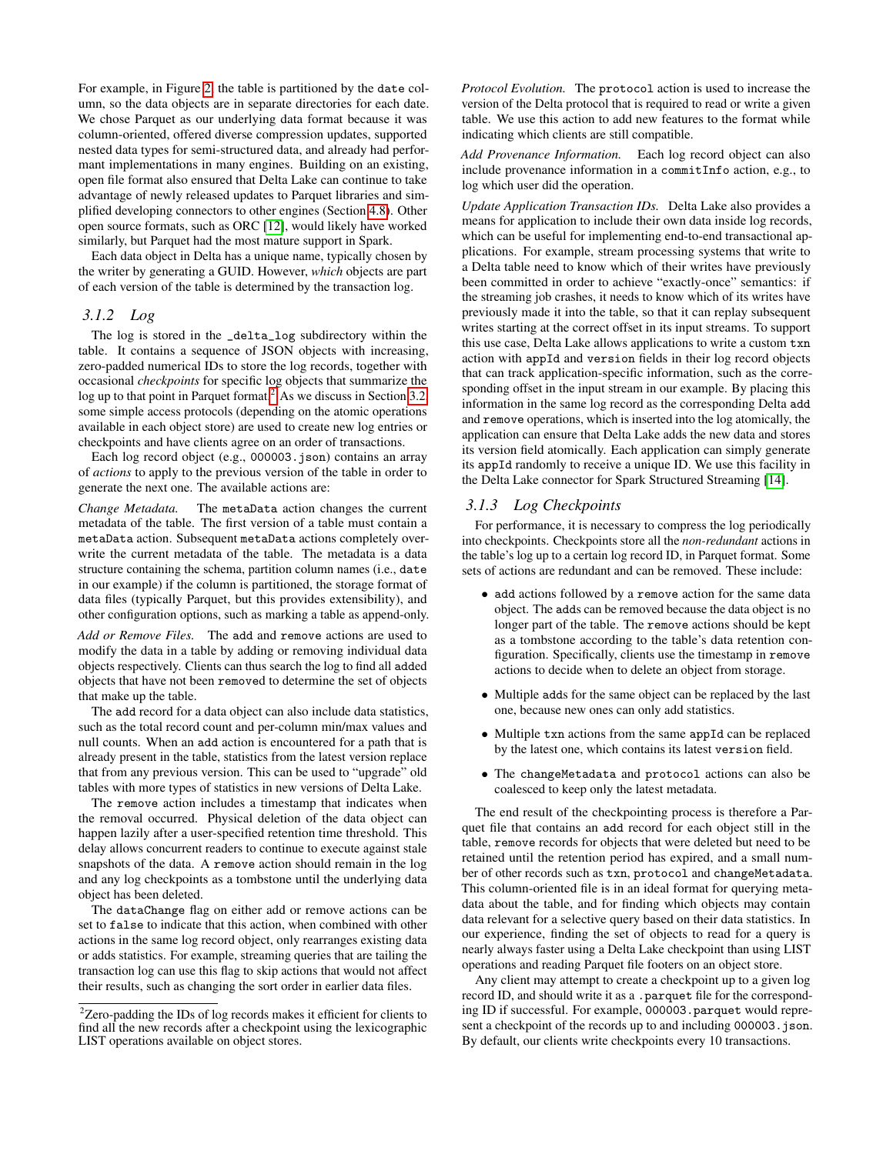For example, in Figure [2,](#page-3-1) the table is partitioned by the date column, so the data objects are in separate directories for each date. We chose Parquet as our underlying data format because it was column-oriented, offered diverse compression updates, supported nested data types for semi-structured data, and already had performant implementations in many engines. Building on an existing, open file format also ensured that Delta Lake can continue to take advantage of newly released updates to Parquet libraries and simplified developing connectors to other engines (Section [4.8\)](#page-8-1). Other open source formats, such as ORC [\[12\]](#page-12-5), would likely have worked similarly, but Parquet had the most mature support in Spark.

Each data object in Delta has a unique name, typically chosen by the writer by generating a GUID. However, *which* objects are part of each version of the table is determined by the transaction log.

#### <span id="page-4-1"></span>*3.1.2 Log*

The log is stored in the \_delta\_log subdirectory within the table. It contains a sequence of JSON objects with increasing, zero-padded numerical IDs to store the log records, together with occasional *checkpoints* for specific log objects that summarize the log up to that point in Parquet format.<sup>[2](#page-4-0)</sup> As we discuss in Section [3.2,](#page-5-0) some simple access protocols (depending on the atomic operations available in each object store) are used to create new log entries or checkpoints and have clients agree on an order of transactions.

Each log record object (e.g., 000003.json) contains an array of *actions* to apply to the previous version of the table in order to generate the next one. The available actions are:

*Change Metadata.* The metaData action changes the current metadata of the table. The first version of a table must contain a metaData action. Subsequent metaData actions completely overwrite the current metadata of the table. The metadata is a data structure containing the schema, partition column names (i.e., date in our example) if the column is partitioned, the storage format of data files (typically Parquet, but this provides extensibility), and other configuration options, such as marking a table as append-only.

*Add or Remove Files.* The add and remove actions are used to modify the data in a table by adding or removing individual data objects respectively. Clients can thus search the log to find all added objects that have not been removed to determine the set of objects that make up the table.

The add record for a data object can also include data statistics, such as the total record count and per-column min/max values and null counts. When an add action is encountered for a path that is already present in the table, statistics from the latest version replace that from any previous version. This can be used to "upgrade" old tables with more types of statistics in new versions of Delta Lake.

The remove action includes a timestamp that indicates when the removal occurred. Physical deletion of the data object can happen lazily after a user-specified retention time threshold. This delay allows concurrent readers to continue to execute against stale snapshots of the data. A remove action should remain in the log and any log checkpoints as a tombstone until the underlying data object has been deleted.

The dataChange flag on either add or remove actions can be set to false to indicate that this action, when combined with other actions in the same log record object, only rearranges existing data or adds statistics. For example, streaming queries that are tailing the transaction log can use this flag to skip actions that would not affect their results, such as changing the sort order in earlier data files.

*Protocol Evolution.* The protocol action is used to increase the version of the Delta protocol that is required to read or write a given table. We use this action to add new features to the format while indicating which clients are still compatible.

*Add Provenance Information.* Each log record object can also include provenance information in a commitInfo action, e.g., to log which user did the operation.

*Update Application Transaction IDs.* Delta Lake also provides a means for application to include their own data inside log records, which can be useful for implementing end-to-end transactional applications. For example, stream processing systems that write to a Delta table need to know which of their writes have previously been committed in order to achieve "exactly-once" semantics: if the streaming job crashes, it needs to know which of its writes have previously made it into the table, so that it can replay subsequent writes starting at the correct offset in its input streams. To support this use case, Delta Lake allows applications to write a custom txn action with appId and version fields in their log record objects that can track application-specific information, such as the corresponding offset in the input stream in our example. By placing this information in the same log record as the corresponding Delta add and remove operations, which is inserted into the log atomically, the application can ensure that Delta Lake adds the new data and stores its version field atomically. Each application can simply generate its appId randomly to receive a unique ID. We use this facility in the Delta Lake connector for Spark Structured Streaming [\[14\]](#page-12-24).

#### *3.1.3 Log Checkpoints*

For performance, it is necessary to compress the log periodically into checkpoints. Checkpoints store all the *non-redundant* actions in the table's log up to a certain log record ID, in Parquet format. Some sets of actions are redundant and can be removed. These include:

- add actions followed by a remove action for the same data object. The adds can be removed because the data object is no longer part of the table. The remove actions should be kept as a tombstone according to the table's data retention configuration. Specifically, clients use the timestamp in remove actions to decide when to delete an object from storage.
- Multiple adds for the same object can be replaced by the last one, because new ones can only add statistics.
- Multiple txn actions from the same appId can be replaced by the latest one, which contains its latest version field.
- The changeMetadata and protocol actions can also be coalesced to keep only the latest metadata.

The end result of the checkpointing process is therefore a Parquet file that contains an add record for each object still in the table, remove records for objects that were deleted but need to be retained until the retention period has expired, and a small number of other records such as txn, protocol and changeMetadata. This column-oriented file is in an ideal format for querying metadata about the table, and for finding which objects may contain data relevant for a selective query based on their data statistics. In our experience, finding the set of objects to read for a query is nearly always faster using a Delta Lake checkpoint than using LIST operations and reading Parquet file footers on an object store.

Any client may attempt to create a checkpoint up to a given log record ID, and should write it as a .parquet file for the corresponding ID if successful. For example, 000003.parquet would represent a checkpoint of the records up to and including 000003. json. By default, our clients write checkpoints every 10 transactions.

<span id="page-4-0"></span> $2$ Zero-padding the IDs of log records makes it efficient for clients to find all the new records after a checkpoint using the lexicographic LIST operations available on object stores.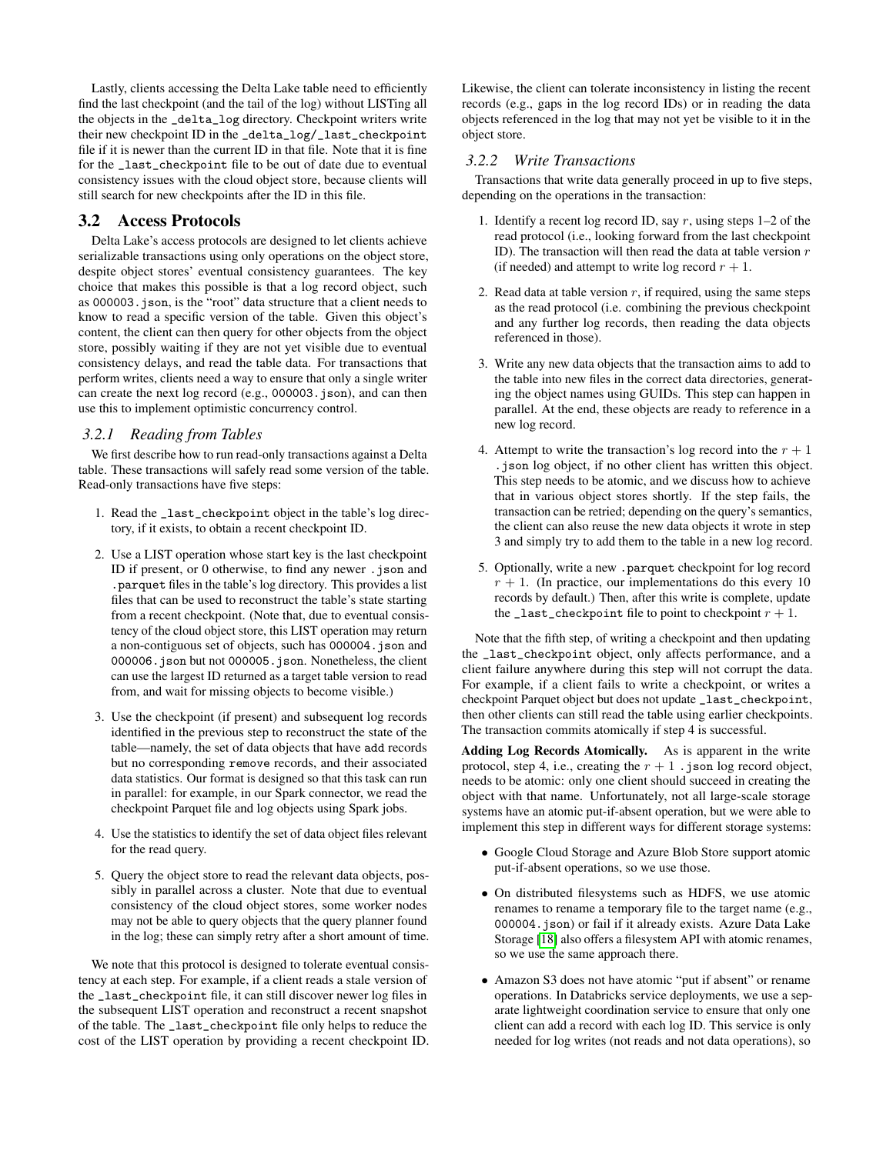Lastly, clients accessing the Delta Lake table need to efficiently find the last checkpoint (and the tail of the log) without LISTing all the objects in the \_delta\_log directory. Checkpoint writers write their new checkpoint ID in the \_delta\_log/\_last\_checkpoint file if it is newer than the current ID in that file. Note that it is fine for the \_last\_checkpoint file to be out of date due to eventual consistency issues with the cloud object store, because clients will still search for new checkpoints after the ID in this file.

## <span id="page-5-0"></span>3.2 Access Protocols

Delta Lake's access protocols are designed to let clients achieve serializable transactions using only operations on the object store, despite object stores' eventual consistency guarantees. The key choice that makes this possible is that a log record object, such as 000003.json, is the "root" data structure that a client needs to know to read a specific version of the table. Given this object's content, the client can then query for other objects from the object store, possibly waiting if they are not yet visible due to eventual consistency delays, and read the table data. For transactions that perform writes, clients need a way to ensure that only a single writer can create the next log record (e.g., 000003.json), and can then use this to implement optimistic concurrency control.

#### <span id="page-5-1"></span>*3.2.1 Reading from Tables*

We first describe how to run read-only transactions against a Delta table. These transactions will safely read some version of the table. Read-only transactions have five steps:

- 1. Read the \_last\_checkpoint object in the table's log directory, if it exists, to obtain a recent checkpoint ID.
- 2. Use a LIST operation whose start key is the last checkpoint ID if present, or 0 otherwise, to find any newer .json and .parquet files in the table's log directory. This provides a list files that can be used to reconstruct the table's state starting from a recent checkpoint. (Note that, due to eventual consistency of the cloud object store, this LIST operation may return a non-contiguous set of objects, such has 000004.json and 000006.json but not 000005.json. Nonetheless, the client can use the largest ID returned as a target table version to read from, and wait for missing objects to become visible.)
- 3. Use the checkpoint (if present) and subsequent log records identified in the previous step to reconstruct the state of the table—namely, the set of data objects that have add records but no corresponding remove records, and their associated data statistics. Our format is designed so that this task can run in parallel: for example, in our Spark connector, we read the checkpoint Parquet file and log objects using Spark jobs.
- 4. Use the statistics to identify the set of data object files relevant for the read query.
- 5. Query the object store to read the relevant data objects, possibly in parallel across a cluster. Note that due to eventual consistency of the cloud object stores, some worker nodes may not be able to query objects that the query planner found in the log; these can simply retry after a short amount of time.

We note that this protocol is designed to tolerate eventual consistency at each step. For example, if a client reads a stale version of the \_last\_checkpoint file, it can still discover newer log files in the subsequent LIST operation and reconstruct a recent snapshot of the table. The \_last\_checkpoint file only helps to reduce the cost of the LIST operation by providing a recent checkpoint ID. Likewise, the client can tolerate inconsistency in listing the recent records (e.g., gaps in the log record IDs) or in reading the data objects referenced in the log that may not yet be visible to it in the object store.

#### <span id="page-5-2"></span>*3.2.2 Write Transactions*

Transactions that write data generally proceed in up to five steps, depending on the operations in the transaction:

- 1. Identify a recent log record ID, say  $r$ , using steps  $1-2$  of the read protocol (i.e., looking forward from the last checkpoint ID). The transaction will then read the data at table version  $r$ (if needed) and attempt to write log record  $r + 1$ .
- 2. Read data at table version  $r$ , if required, using the same steps as the read protocol (i.e. combining the previous checkpoint and any further log records, then reading the data objects referenced in those).
- 3. Write any new data objects that the transaction aims to add to the table into new files in the correct data directories, generating the object names using GUIDs. This step can happen in parallel. At the end, these objects are ready to reference in a new log record.
- 4. Attempt to write the transaction's log record into the  $r + 1$ .json log object, if no other client has written this object. This step needs to be atomic, and we discuss how to achieve that in various object stores shortly. If the step fails, the transaction can be retried; depending on the query's semantics, the client can also reuse the new data objects it wrote in step 3 and simply try to add them to the table in a new log record.
- 5. Optionally, write a new .parquet checkpoint for log record  $r + 1$ . (In practice, our implementations do this every 10 records by default.) Then, after this write is complete, update the  $\texttt{\_last\_checkpoint}$  file to point to checkpoint  $r+1$ .

Note that the fifth step, of writing a checkpoint and then updating the \_last\_checkpoint object, only affects performance, and a client failure anywhere during this step will not corrupt the data. For example, if a client fails to write a checkpoint, or writes a checkpoint Parquet object but does not update \_last\_checkpoint, then other clients can still read the table using earlier checkpoints. The transaction commits atomically if step 4 is successful.

Adding Log Records Atomically. As is apparent in the write protocol, step 4, i.e., creating the  $r + 1$ . json log record object, needs to be atomic: only one client should succeed in creating the object with that name. Unfortunately, not all large-scale storage systems have an atomic put-if-absent operation, but we were able to implement this step in different ways for different storage systems:

- Google Cloud Storage and Azure Blob Store support atomic put-if-absent operations, so we use those.
- On distributed filesystems such as HDFS, we use atomic renames to rename a temporary file to the target name (e.g., 000004.json) or fail if it already exists. Azure Data Lake Storage [\[18\]](#page-12-16) also offers a filesystem API with atomic renames, so we use the same approach there.
- Amazon S3 does not have atomic "put if absent" or rename operations. In Databricks service deployments, we use a separate lightweight coordination service to ensure that only one client can add a record with each log ID. This service is only needed for log writes (not reads and not data operations), so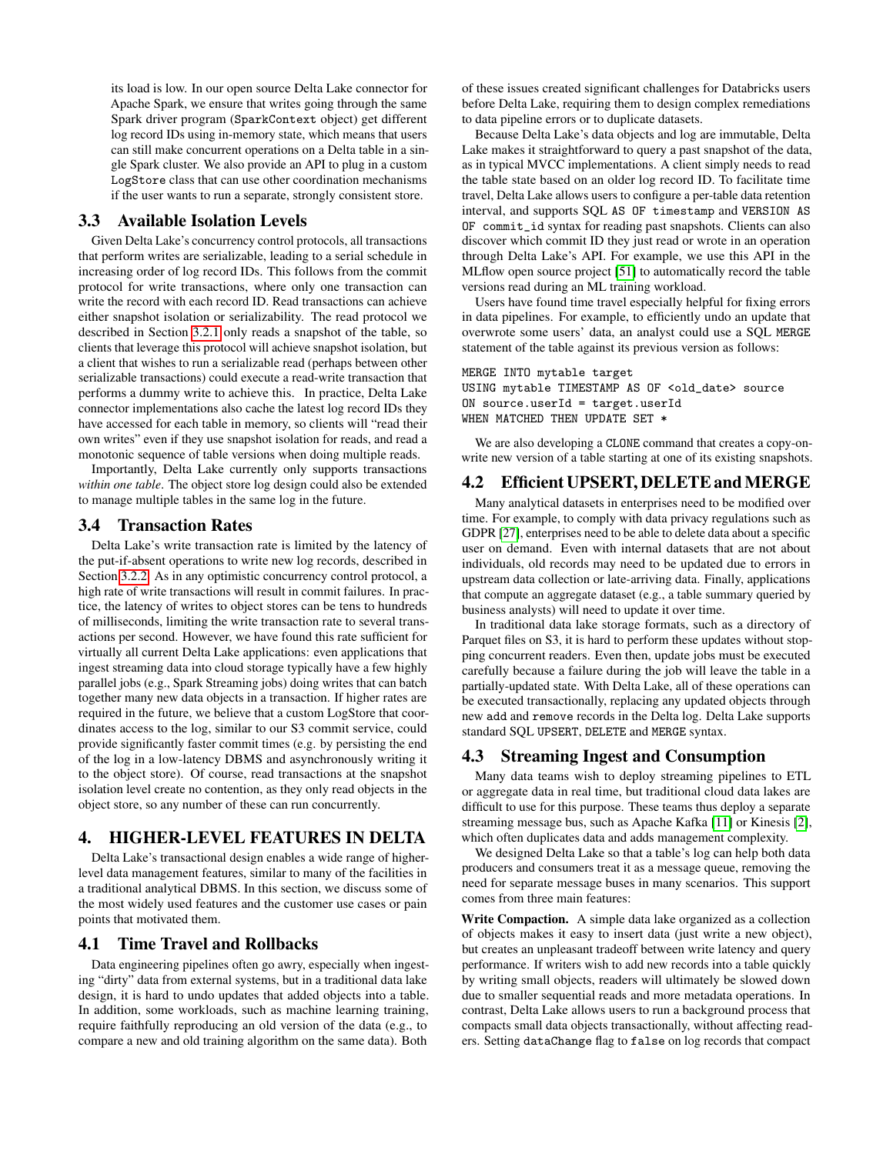its load is low. In our open source Delta Lake connector for Apache Spark, we ensure that writes going through the same Spark driver program (SparkContext object) get different log record IDs using in-memory state, which means that users can still make concurrent operations on a Delta table in a single Spark cluster. We also provide an API to plug in a custom LogStore class that can use other coordination mechanisms if the user wants to run a separate, strongly consistent store.

## 3.3 Available Isolation Levels

Given Delta Lake's concurrency control protocols, all transactions that perform writes are serializable, leading to a serial schedule in increasing order of log record IDs. This follows from the commit protocol for write transactions, where only one transaction can write the record with each record ID. Read transactions can achieve either snapshot isolation or serializability. The read protocol we described in Section [3.2.1](#page-5-1) only reads a snapshot of the table, so clients that leverage this protocol will achieve snapshot isolation, but a client that wishes to run a serializable read (perhaps between other serializable transactions) could execute a read-write transaction that performs a dummy write to achieve this. In practice, Delta Lake connector implementations also cache the latest log record IDs they have accessed for each table in memory, so clients will "read their own writes" even if they use snapshot isolation for reads, and read a monotonic sequence of table versions when doing multiple reads.

Importantly, Delta Lake currently only supports transactions *within one table*. The object store log design could also be extended to manage multiple tables in the same log in the future.

#### 3.4 Transaction Rates

Delta Lake's write transaction rate is limited by the latency of the put-if-absent operations to write new log records, described in Section [3.2.2.](#page-5-2) As in any optimistic concurrency control protocol, a high rate of write transactions will result in commit failures. In practice, the latency of writes to object stores can be tens to hundreds of milliseconds, limiting the write transaction rate to several transactions per second. However, we have found this rate sufficient for virtually all current Delta Lake applications: even applications that ingest streaming data into cloud storage typically have a few highly parallel jobs (e.g., Spark Streaming jobs) doing writes that can batch together many new data objects in a transaction. If higher rates are required in the future, we believe that a custom LogStore that coordinates access to the log, similar to our S3 commit service, could provide significantly faster commit times (e.g. by persisting the end of the log in a low-latency DBMS and asynchronously writing it to the object store). Of course, read transactions at the snapshot isolation level create no contention, as they only read objects in the object store, so any number of these can run concurrently.

# 4. HIGHER-LEVEL FEATURES IN DELTA

Delta Lake's transactional design enables a wide range of higherlevel data management features, similar to many of the facilities in a traditional analytical DBMS. In this section, we discuss some of the most widely used features and the customer use cases or pain points that motivated them.

#### <span id="page-6-1"></span>4.1 Time Travel and Rollbacks

Data engineering pipelines often go awry, especially when ingesting "dirty" data from external systems, but in a traditional data lake design, it is hard to undo updates that added objects into a table. In addition, some workloads, such as machine learning training, require faithfully reproducing an old version of the data (e.g., to compare a new and old training algorithm on the same data). Both of these issues created significant challenges for Databricks users before Delta Lake, requiring them to design complex remediations to data pipeline errors or to duplicate datasets.

Because Delta Lake's data objects and log are immutable, Delta Lake makes it straightforward to query a past snapshot of the data, as in typical MVCC implementations. A client simply needs to read the table state based on an older log record ID. To facilitate time travel, Delta Lake allows users to configure a per-table data retention interval, and supports SQL AS OF timestamp and VERSION AS OF commit\_id syntax for reading past snapshots. Clients can also discover which commit ID they just read or wrote in an operation through Delta Lake's API. For example, we use this API in the MLflow open source project [\[51\]](#page-13-5) to automatically record the table versions read during an ML training workload.

Users have found time travel especially helpful for fixing errors in data pipelines. For example, to efficiently undo an update that overwrote some users' data, an analyst could use a SQL MERGE statement of the table against its previous version as follows:

```
MERGE INTO mytable target
USING mytable TIMESTAMP AS OF <old_date> source
ON source.userId = target.userId
WHEN MATCHED THEN UPDATE SET *
```
We are also developing a CLONE command that creates a copy-onwrite new version of a table starting at one of its existing snapshots.

# 4.2 Efficient UPSERT, DELETE and MERGE

Many analytical datasets in enterprises need to be modified over time. For example, to comply with data privacy regulations such as GDPR [\[27\]](#page-12-10), enterprises need to be able to delete data about a specific user on demand. Even with internal datasets that are not about individuals, old records may need to be updated due to errors in upstream data collection or late-arriving data. Finally, applications that compute an aggregate dataset (e.g., a table summary queried by business analysts) will need to update it over time.

In traditional data lake storage formats, such as a directory of Parquet files on S3, it is hard to perform these updates without stopping concurrent readers. Even then, update jobs must be executed carefully because a failure during the job will leave the table in a partially-updated state. With Delta Lake, all of these operations can be executed transactionally, replacing any updated objects through new add and remove records in the Delta log. Delta Lake supports standard SQL UPSERT, DELETE and MERGE syntax.

#### <span id="page-6-0"></span>4.3 Streaming Ingest and Consumption

Many data teams wish to deploy streaming pipelines to ETL or aggregate data in real time, but traditional cloud data lakes are difficult to use for this purpose. These teams thus deploy a separate streaming message bus, such as Apache Kafka [\[11\]](#page-12-25) or Kinesis [\[2\]](#page-12-26), which often duplicates data and adds management complexity.

We designed Delta Lake so that a table's log can help both data producers and consumers treat it as a message queue, removing the need for separate message buses in many scenarios. This support comes from three main features:

Write Compaction. A simple data lake organized as a collection of objects makes it easy to insert data (just write a new object), but creates an unpleasant tradeoff between write latency and query performance. If writers wish to add new records into a table quickly by writing small objects, readers will ultimately be slowed down due to smaller sequential reads and more metadata operations. In contrast, Delta Lake allows users to run a background process that compacts small data objects transactionally, without affecting readers. Setting dataChange flag to false on log records that compact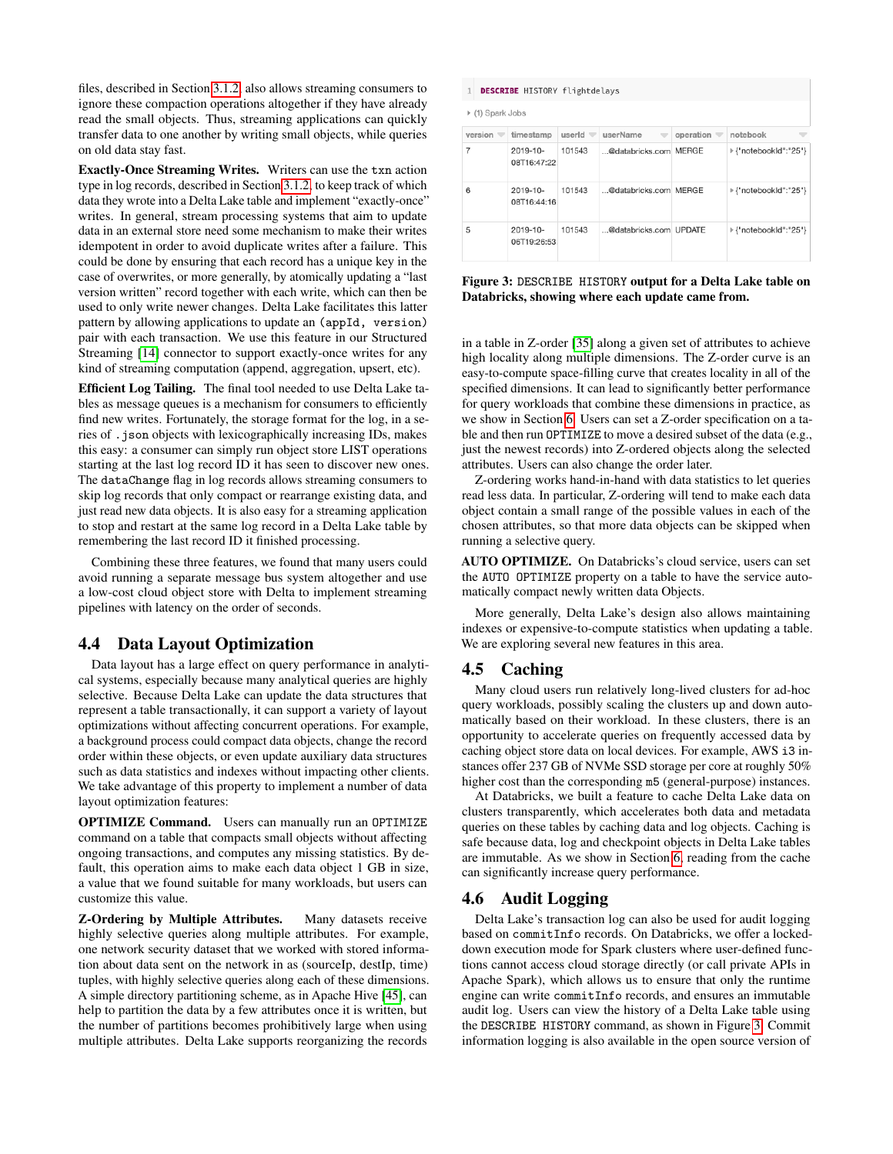files, described in Section [3.1.2,](#page-4-1) also allows streaming consumers to ignore these compaction operations altogether if they have already read the small objects. Thus, streaming applications can quickly transfer data to one another by writing small objects, while queries on old data stay fast.

Exactly-Once Streaming Writes. Writers can use the txn action type in log records, described in Section [3.1.2,](#page-4-1) to keep track of which data they wrote into a Delta Lake table and implement "exactly-once" writes. In general, stream processing systems that aim to update data in an external store need some mechanism to make their writes idempotent in order to avoid duplicate writes after a failure. This could be done by ensuring that each record has a unique key in the case of overwrites, or more generally, by atomically updating a "last version written" record together with each write, which can then be used to only write newer changes. Delta Lake facilitates this latter pattern by allowing applications to update an (appId, version) pair with each transaction. We use this feature in our Structured Streaming [\[14\]](#page-12-24) connector to support exactly-once writes for any kind of streaming computation (append, aggregation, upsert, etc).

Efficient Log Tailing. The final tool needed to use Delta Lake tables as message queues is a mechanism for consumers to efficiently find new writes. Fortunately, the storage format for the log, in a series of .json objects with lexicographically increasing IDs, makes this easy: a consumer can simply run object store LIST operations starting at the last log record ID it has seen to discover new ones. The dataChange flag in log records allows streaming consumers to skip log records that only compact or rearrange existing data, and just read new data objects. It is also easy for a streaming application to stop and restart at the same log record in a Delta Lake table by remembering the last record ID it finished processing.

Combining these three features, we found that many users could avoid running a separate message bus system altogether and use a low-cost cloud object store with Delta to implement streaming pipelines with latency on the order of seconds.

#### <span id="page-7-2"></span>4.4 Data Layout Optimization

Data layout has a large effect on query performance in analytical systems, especially because many analytical queries are highly selective. Because Delta Lake can update the data structures that represent a table transactionally, it can support a variety of layout optimizations without affecting concurrent operations. For example, a background process could compact data objects, change the record order within these objects, or even update auxiliary data structures such as data statistics and indexes without impacting other clients. We take advantage of this property to implement a number of data layout optimization features:

OPTIMIZE Command. Users can manually run an OPTIMIZE command on a table that compacts small objects without affecting ongoing transactions, and computes any missing statistics. By default, this operation aims to make each data object 1 GB in size, a value that we found suitable for many workloads, but users can customize this value.

Z-Ordering by Multiple Attributes. Many datasets receive highly selective queries along multiple attributes. For example, one network security dataset that we worked with stored information about data sent on the network in as (sourceIp, destIp, time) tuples, with highly selective queries along each of these dimensions. A simple directory partitioning scheme, as in Apache Hive [\[45\]](#page-13-1), can help to partition the data by a few attributes once it is written, but the number of partitions becomes prohibitively large when using multiple attributes. Delta Lake supports reorganizing the records

<span id="page-7-0"></span>

| <b>DESCRIBE</b> HISTORY flightdelays<br>$\mathbf{1}$ |                              |                 |                        |                |                       |
|------------------------------------------------------|------------------------------|-----------------|------------------------|----------------|-----------------------|
| ▶ (1) Spark Jobs                                     |                              |                 |                        |                |                       |
| version $\equiv$                                     | timestamp                    | userId $\equiv$ | userName               | operation<br>v | notebook              |
| 7                                                    | 2019-10-<br>08T16:47:22      | 101543          | @databricks.com MERGE  |                | ⊩{"notebookId":"25"}  |
| 6                                                    | 2019-10-<br>08T16:44:16      | 101543          | @databricks.com MERGE  |                | ▶ {"notebookId":"25"} |
| 5                                                    | $2019 - 10 -$<br>06T19:26:53 | 101543          | @databricks.com UPDATE |                | ▶ {"notebookId":"25"} |

Figure 3: DESCRIBE HISTORY output for a Delta Lake table on Databricks, showing where each update came from.

in a table in Z-order [\[35\]](#page-12-27) along a given set of attributes to achieve high locality along multiple dimensions. The Z-order curve is an easy-to-compute space-filling curve that creates locality in all of the specified dimensions. It can lead to significantly better performance for query workloads that combine these dimensions in practice, as we show in Section [6.](#page-9-0) Users can set a Z-order specification on a table and then run OPTIMIZE to move a desired subset of the data (e.g., just the newest records) into Z-ordered objects along the selected attributes. Users can also change the order later.

Z-ordering works hand-in-hand with data statistics to let queries read less data. In particular, Z-ordering will tend to make each data object contain a small range of the possible values in each of the chosen attributes, so that more data objects can be skipped when running a selective query.

AUTO OPTIMIZE. On Databricks's cloud service, users can set the AUTO OPTIMIZE property on a table to have the service automatically compact newly written data Objects.

More generally, Delta Lake's design also allows maintaining indexes or expensive-to-compute statistics when updating a table. We are exploring several new features in this area.

#### <span id="page-7-3"></span>4.5 Caching

Many cloud users run relatively long-lived clusters for ad-hoc query workloads, possibly scaling the clusters up and down automatically based on their workload. In these clusters, there is an opportunity to accelerate queries on frequently accessed data by caching object store data on local devices. For example, AWS i3 instances offer 237 GB of NVMe SSD storage per core at roughly 50% higher cost than the corresponding m5 (general-purpose) instances.

At Databricks, we built a feature to cache Delta Lake data on clusters transparently, which accelerates both data and metadata queries on these tables by caching data and log objects. Caching is safe because data, log and checkpoint objects in Delta Lake tables are immutable. As we show in Section [6,](#page-9-0) reading from the cache can significantly increase query performance.

## <span id="page-7-1"></span>4.6 Audit Logging

Delta Lake's transaction log can also be used for audit logging based on commitInfo records. On Databricks, we offer a lockeddown execution mode for Spark clusters where user-defined functions cannot access cloud storage directly (or call private APIs in Apache Spark), which allows us to ensure that only the runtime engine can write commitInfo records, and ensures an immutable audit log. Users can view the history of a Delta Lake table using the DESCRIBE HISTORY command, as shown in Figure [3.](#page-7-0) Commit information logging is also available in the open source version of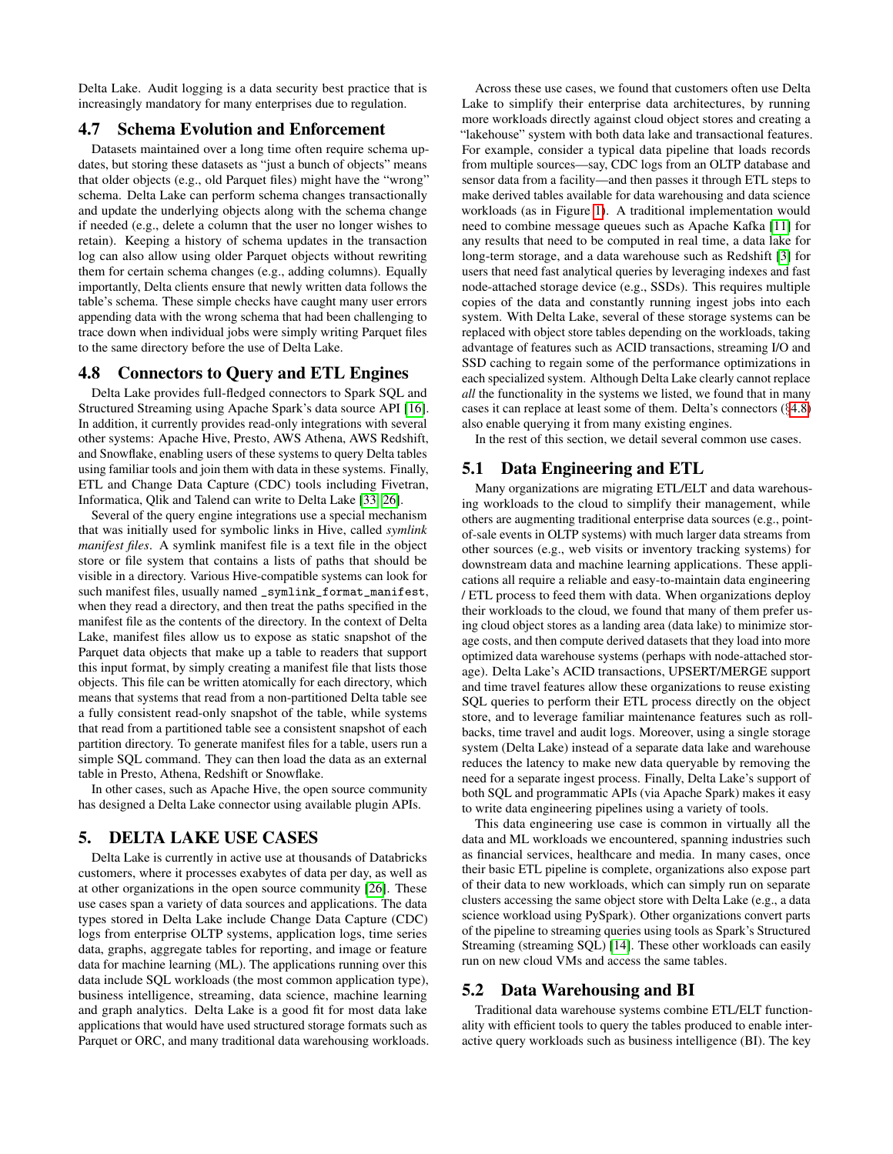Delta Lake. Audit logging is a data security best practice that is increasingly mandatory for many enterprises due to regulation.

#### 4.7 Schema Evolution and Enforcement

Datasets maintained over a long time often require schema updates, but storing these datasets as "just a bunch of objects" means that older objects (e.g., old Parquet files) might have the "wrong" schema. Delta Lake can perform schema changes transactionally and update the underlying objects along with the schema change if needed (e.g., delete a column that the user no longer wishes to retain). Keeping a history of schema updates in the transaction log can also allow using older Parquet objects without rewriting them for certain schema changes (e.g., adding columns). Equally importantly, Delta clients ensure that newly written data follows the table's schema. These simple checks have caught many user errors appending data with the wrong schema that had been challenging to trace down when individual jobs were simply writing Parquet files to the same directory before the use of Delta Lake.

## <span id="page-8-1"></span>4.8 Connectors to Query and ETL Engines

Delta Lake provides full-fledged connectors to Spark SQL and Structured Streaming using Apache Spark's data source API [\[16\]](#page-12-28). In addition, it currently provides read-only integrations with several other systems: Apache Hive, Presto, AWS Athena, AWS Redshift, and Snowflake, enabling users of these systems to query Delta tables using familiar tools and join them with data in these systems. Finally, ETL and Change Data Capture (CDC) tools including Fivetran, Informatica, Qlik and Talend can write to Delta Lake [\[33,](#page-12-12) [26\]](#page-12-11).

Several of the query engine integrations use a special mechanism that was initially used for symbolic links in Hive, called *symlink manifest files*. A symlink manifest file is a text file in the object store or file system that contains a lists of paths that should be visible in a directory. Various Hive-compatible systems can look for such manifest files, usually named \_symlink\_format\_manifest, when they read a directory, and then treat the paths specified in the manifest file as the contents of the directory. In the context of Delta Lake, manifest files allow us to expose as static snapshot of the Parquet data objects that make up a table to readers that support this input format, by simply creating a manifest file that lists those objects. This file can be written atomically for each directory, which means that systems that read from a non-partitioned Delta table see a fully consistent read-only snapshot of the table, while systems that read from a partitioned table see a consistent snapshot of each partition directory. To generate manifest files for a table, users run a simple SQL command. They can then load the data as an external table in Presto, Athena, Redshift or Snowflake.

In other cases, such as Apache Hive, the open source community has designed a Delta Lake connector using available plugin APIs.

## <span id="page-8-0"></span>5. DELTA LAKE USE CASES

Delta Lake is currently in active use at thousands of Databricks customers, where it processes exabytes of data per day, as well as at other organizations in the open source community [\[26\]](#page-12-11). These use cases span a variety of data sources and applications. The data types stored in Delta Lake include Change Data Capture (CDC) logs from enterprise OLTP systems, application logs, time series data, graphs, aggregate tables for reporting, and image or feature data for machine learning (ML). The applications running over this data include SQL workloads (the most common application type), business intelligence, streaming, data science, machine learning and graph analytics. Delta Lake is a good fit for most data lake applications that would have used structured storage formats such as Parquet or ORC, and many traditional data warehousing workloads.

Across these use cases, we found that customers often use Delta Lake to simplify their enterprise data architectures, by running more workloads directly against cloud object stores and creating a "lakehouse" system with both data lake and transactional features. For example, consider a typical data pipeline that loads records from multiple sources—say, CDC logs from an OLTP database and sensor data from a facility—and then passes it through ETL steps to make derived tables available for data warehousing and data science workloads (as in Figure [1\)](#page-1-0). A traditional implementation would need to combine message queues such as Apache Kafka [\[11\]](#page-12-25) for any results that need to be computed in real time, a data lake for long-term storage, and a data warehouse such as Redshift [\[3\]](#page-12-29) for users that need fast analytical queries by leveraging indexes and fast node-attached storage device (e.g., SSDs). This requires multiple copies of the data and constantly running ingest jobs into each system. With Delta Lake, several of these storage systems can be replaced with object store tables depending on the workloads, taking advantage of features such as ACID transactions, streaming I/O and SSD caching to regain some of the performance optimizations in each specialized system. Although Delta Lake clearly cannot replace *all* the functionality in the systems we listed, we found that in many cases it can replace at least some of them. Delta's connectors (§[4.8\)](#page-8-1) also enable querying it from many existing engines.

In the rest of this section, we detail several common use cases.

#### 5.1 Data Engineering and ETL

Many organizations are migrating ETL/ELT and data warehousing workloads to the cloud to simplify their management, while others are augmenting traditional enterprise data sources (e.g., pointof-sale events in OLTP systems) with much larger data streams from other sources (e.g., web visits or inventory tracking systems) for downstream data and machine learning applications. These applications all require a reliable and easy-to-maintain data engineering / ETL process to feed them with data. When organizations deploy their workloads to the cloud, we found that many of them prefer using cloud object stores as a landing area (data lake) to minimize storage costs, and then compute derived datasets that they load into more optimized data warehouse systems (perhaps with node-attached storage). Delta Lake's ACID transactions, UPSERT/MERGE support and time travel features allow these organizations to reuse existing SQL queries to perform their ETL process directly on the object store, and to leverage familiar maintenance features such as rollbacks, time travel and audit logs. Moreover, using a single storage system (Delta Lake) instead of a separate data lake and warehouse reduces the latency to make new data queryable by removing the need for a separate ingest process. Finally, Delta Lake's support of both SQL and programmatic APIs (via Apache Spark) makes it easy to write data engineering pipelines using a variety of tools.

This data engineering use case is common in virtually all the data and ML workloads we encountered, spanning industries such as financial services, healthcare and media. In many cases, once their basic ETL pipeline is complete, organizations also expose part of their data to new workloads, which can simply run on separate clusters accessing the same object store with Delta Lake (e.g., a data science workload using PySpark). Other organizations convert parts of the pipeline to streaming queries using tools as Spark's Structured Streaming (streaming SQL) [\[14\]](#page-12-24). These other workloads can easily run on new cloud VMs and access the same tables.

## 5.2 Data Warehousing and BI

Traditional data warehouse systems combine ETL/ELT functionality with efficient tools to query the tables produced to enable interactive query workloads such as business intelligence (BI). The key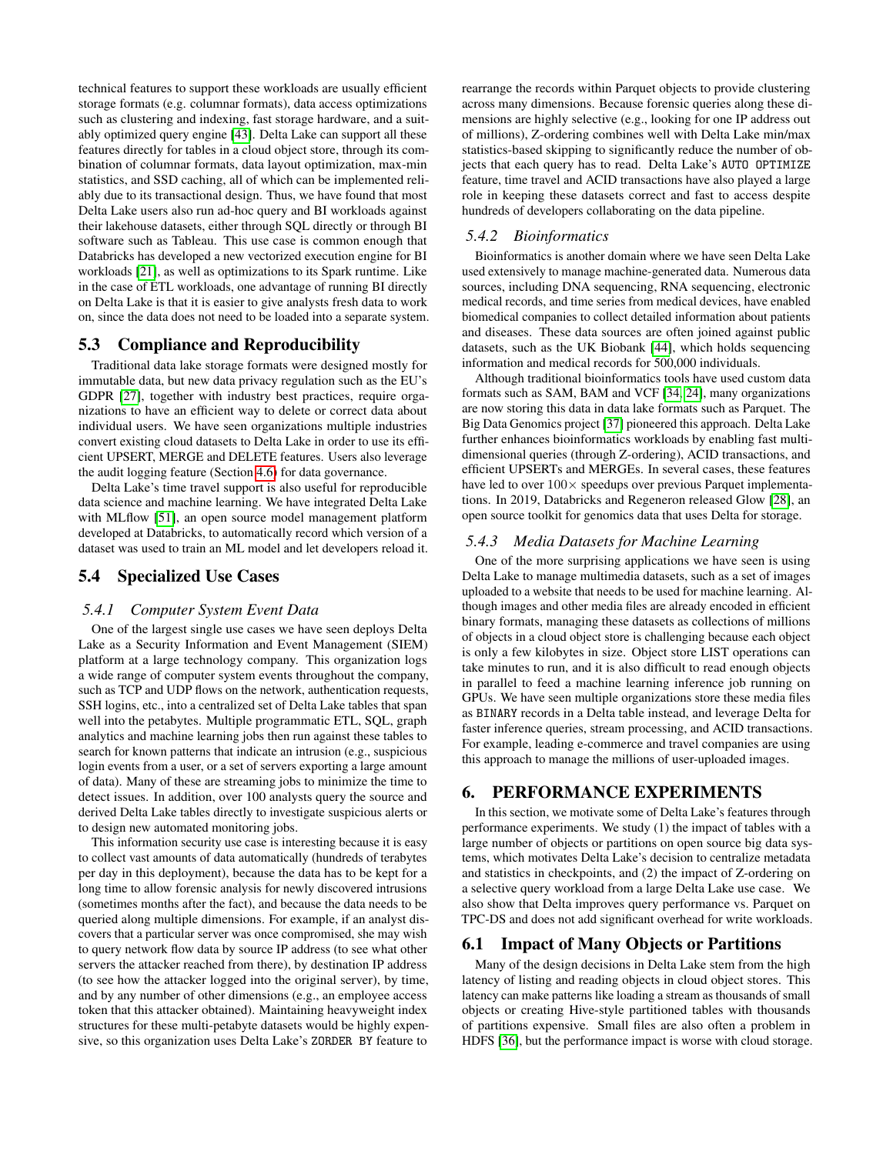technical features to support these workloads are usually efficient storage formats (e.g. columnar formats), data access optimizations such as clustering and indexing, fast storage hardware, and a suitably optimized query engine [\[43\]](#page-12-30). Delta Lake can support all these features directly for tables in a cloud object store, through its combination of columnar formats, data layout optimization, max-min statistics, and SSD caching, all of which can be implemented reliably due to its transactional design. Thus, we have found that most Delta Lake users also run ad-hoc query and BI workloads against their lakehouse datasets, either through SQL directly or through BI software such as Tableau. This use case is common enough that Databricks has developed a new vectorized execution engine for BI workloads [\[21\]](#page-12-31), as well as optimizations to its Spark runtime. Like in the case of ETL workloads, one advantage of running BI directly on Delta Lake is that it is easier to give analysts fresh data to work on, since the data does not need to be loaded into a separate system.

## 5.3 Compliance and Reproducibility

Traditional data lake storage formats were designed mostly for immutable data, but new data privacy regulation such as the EU's GDPR [\[27\]](#page-12-10), together with industry best practices, require organizations to have an efficient way to delete or correct data about individual users. We have seen organizations multiple industries convert existing cloud datasets to Delta Lake in order to use its efficient UPSERT, MERGE and DELETE features. Users also leverage the audit logging feature (Section [4.6\)](#page-7-1) for data governance.

Delta Lake's time travel support is also useful for reproducible data science and machine learning. We have integrated Delta Lake with MLflow [\[51\]](#page-13-5), an open source model management platform developed at Databricks, to automatically record which version of a dataset was used to train an ML model and let developers reload it.

## 5.4 Specialized Use Cases

#### <span id="page-9-1"></span>*5.4.1 Computer System Event Data*

One of the largest single use cases we have seen deploys Delta Lake as a Security Information and Event Management (SIEM) platform at a large technology company. This organization logs a wide range of computer system events throughout the company, such as TCP and UDP flows on the network, authentication requests, SSH logins, etc., into a centralized set of Delta Lake tables that span well into the petabytes. Multiple programmatic ETL, SQL, graph analytics and machine learning jobs then run against these tables to search for known patterns that indicate an intrusion (e.g., suspicious login events from a user, or a set of servers exporting a large amount of data). Many of these are streaming jobs to minimize the time to detect issues. In addition, over 100 analysts query the source and derived Delta Lake tables directly to investigate suspicious alerts or to design new automated monitoring jobs.

This information security use case is interesting because it is easy to collect vast amounts of data automatically (hundreds of terabytes per day in this deployment), because the data has to be kept for a long time to allow forensic analysis for newly discovered intrusions (sometimes months after the fact), and because the data needs to be queried along multiple dimensions. For example, if an analyst discovers that a particular server was once compromised, she may wish to query network flow data by source IP address (to see what other servers the attacker reached from there), by destination IP address (to see how the attacker logged into the original server), by time, and by any number of other dimensions (e.g., an employee access token that this attacker obtained). Maintaining heavyweight index structures for these multi-petabyte datasets would be highly expensive, so this organization uses Delta Lake's ZORDER BY feature to

rearrange the records within Parquet objects to provide clustering across many dimensions. Because forensic queries along these dimensions are highly selective (e.g., looking for one IP address out of millions), Z-ordering combines well with Delta Lake min/max statistics-based skipping to significantly reduce the number of objects that each query has to read. Delta Lake's AUTO OPTIMIZE feature, time travel and ACID transactions have also played a large role in keeping these datasets correct and fast to access despite hundreds of developers collaborating on the data pipeline.

#### *5.4.2 Bioinformatics*

Bioinformatics is another domain where we have seen Delta Lake used extensively to manage machine-generated data. Numerous data sources, including DNA sequencing, RNA sequencing, electronic medical records, and time series from medical devices, have enabled biomedical companies to collect detailed information about patients and diseases. These data sources are often joined against public datasets, such as the UK Biobank [\[44\]](#page-13-6), which holds sequencing information and medical records for 500,000 individuals.

Although traditional bioinformatics tools have used custom data formats such as SAM, BAM and VCF [\[34,](#page-12-32) [24\]](#page-12-33), many organizations are now storing this data in data lake formats such as Parquet. The Big Data Genomics project [\[37\]](#page-12-34) pioneered this approach. Delta Lake further enhances bioinformatics workloads by enabling fast multidimensional queries (through Z-ordering), ACID transactions, and efficient UPSERTs and MERGEs. In several cases, these features have led to over  $100 \times$  speedups over previous Parquet implementations. In 2019, Databricks and Regeneron released Glow [\[28\]](#page-12-35), an open source toolkit for genomics data that uses Delta for storage.

#### *5.4.3 Media Datasets for Machine Learning*

One of the more surprising applications we have seen is using Delta Lake to manage multimedia datasets, such as a set of images uploaded to a website that needs to be used for machine learning. Although images and other media files are already encoded in efficient binary formats, managing these datasets as collections of millions of objects in a cloud object store is challenging because each object is only a few kilobytes in size. Object store LIST operations can take minutes to run, and it is also difficult to read enough objects in parallel to feed a machine learning inference job running on GPUs. We have seen multiple organizations store these media files as BINARY records in a Delta table instead, and leverage Delta for faster inference queries, stream processing, and ACID transactions. For example, leading e-commerce and travel companies are using this approach to manage the millions of user-uploaded images.

## <span id="page-9-0"></span>6. PERFORMANCE EXPERIMENTS

In this section, we motivate some of Delta Lake's features through performance experiments. We study (1) the impact of tables with a large number of objects or partitions on open source big data systems, which motivates Delta Lake's decision to centralize metadata and statistics in checkpoints, and (2) the impact of Z-ordering on a selective query workload from a large Delta Lake use case. We also show that Delta improves query performance vs. Parquet on TPC-DS and does not add significant overhead for write workloads.

#### <span id="page-9-2"></span>6.1 Impact of Many Objects or Partitions

Many of the design decisions in Delta Lake stem from the high latency of listing and reading objects in cloud object stores. This latency can make patterns like loading a stream as thousands of small objects or creating Hive-style partitioned tables with thousands of partitions expensive. Small files are also often a problem in HDFS [\[36\]](#page-12-17), but the performance impact is worse with cloud storage.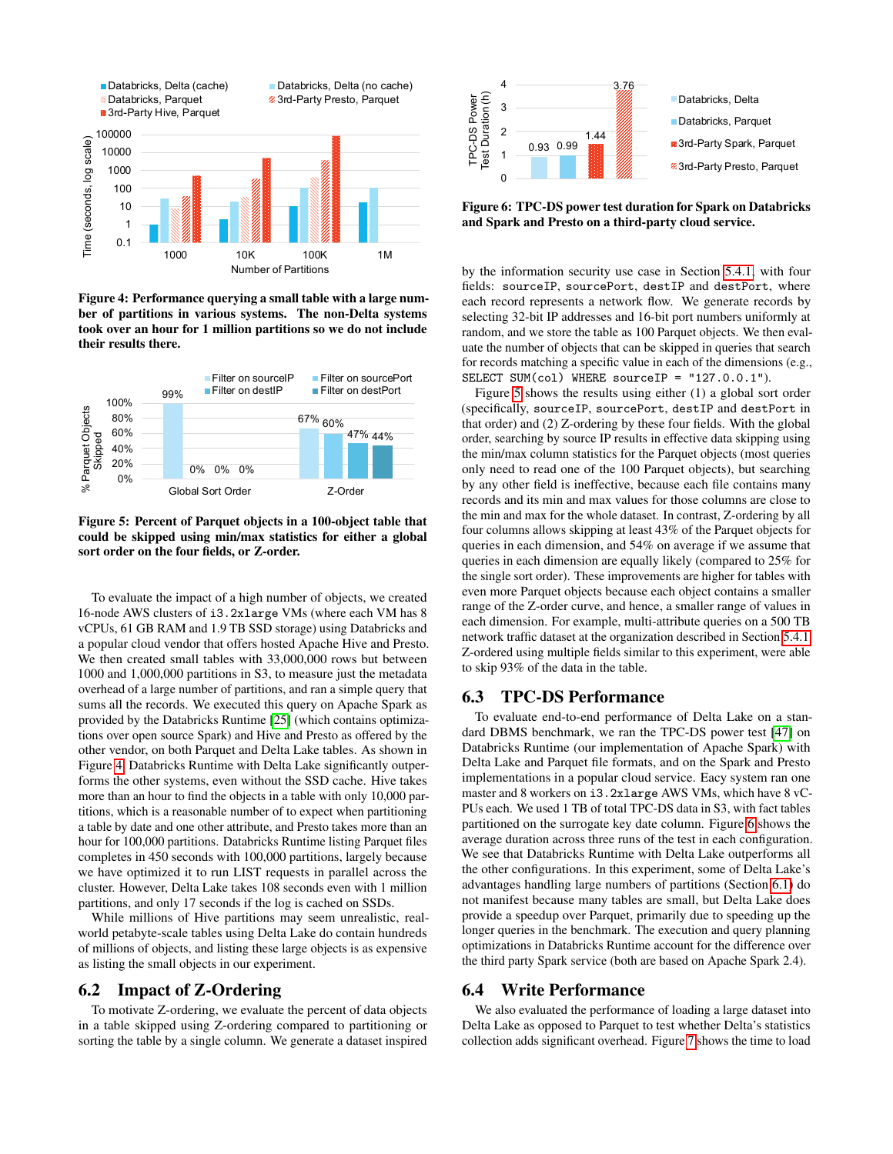<span id="page-10-0"></span>

Figure 4: Performance querying a small table with a large number of partitions in various systems. The non-Delta systems took over an hour for 1 million partitions so we do not include their results there.

<span id="page-10-1"></span>

Figure 5: Percent of Parquet objects in a 100-object table that could be skipped using min/max statistics for either a global sort order on the four fields, or Z-order.

To evaluate the impact of a high number of objects, we created 16-node AWS clusters of i3.2xlarge VMs (where each VM has 8 vCPUs, 61 GB RAM and 1.9 TB SSD storage) using Databricks and a popular cloud vendor that offers hosted Apache Hive and Presto. We then created small tables with 33,000,000 rows but between 1000 and 1,000,000 partitions in S3, to measure just the metadata overhead of a large number of partitions, and ran a simple query that sums all the records. We executed this query on Apache Spark as provided by the Databricks Runtime [\[25\]](#page-12-36) (which contains optimizations over open source Spark) and Hive and Presto as offered by the other vendor, on both Parquet and Delta Lake tables. As shown in Figure [4,](#page-10-0) Databricks Runtime with Delta Lake significantly outperforms the other systems, even without the SSD cache. Hive takes more than an hour to find the objects in a table with only 10,000 partitions, which is a reasonable number of to expect when partitioning a table by date and one other attribute, and Presto takes more than an hour for 100,000 partitions. Databricks Runtime listing Parquet files completes in 450 seconds with 100,000 partitions, largely because we have optimized it to run LIST requests in parallel across the cluster. However, Delta Lake takes 108 seconds even with 1 million partitions, and only 17 seconds if the log is cached on SSDs.

While millions of Hive partitions may seem unrealistic, realworld petabyte-scale tables using Delta Lake do contain hundreds of millions of objects, and listing these large objects is as expensive as listing the small objects in our experiment.

## 6.2 Impact of Z-Ordering

To motivate Z-ordering, we evaluate the percent of data objects in a table skipped using Z-ordering compared to partitioning or sorting the table by a single column. We generate a dataset inspired

<span id="page-10-2"></span>

Figure 6: TPC-DS power test duration for Spark on Databricks and Spark and Presto on a third-party cloud service.

by the information security use case in Section [5.4.1,](#page-9-1) with four fields: sourceIP, sourcePort, destIP and destPort, where each record represents a network flow. We generate records by selecting 32-bit IP addresses and 16-bit port numbers uniformly at random, and we store the table as 100 Parquet objects. We then evaluate the number of objects that can be skipped in queries that search for records matching a specific value in each of the dimensions (e.g., SELECT SUM(col) WHERE sourceIP = "127.0.0.1").

Figure [5](#page-10-1) shows the results using either (1) a global sort order (specifically, sourceIP, sourcePort, destIP and destPort in that order) and (2) Z-ordering by these four fields. With the global order, searching by source IP results in effective data skipping using the min/max column statistics for the Parquet objects (most queries only need to read one of the 100 Parquet objects), but searching by any other field is ineffective, because each file contains many records and its min and max values for those columns are close to the min and max for the whole dataset. In contrast, Z-ordering by all four columns allows skipping at least 43% of the Parquet objects for queries in each dimension, and 54% on average if we assume that queries in each dimension are equally likely (compared to 25% for the single sort order). These improvements are higher for tables with even more Parquet objects because each object contains a smaller range of the Z-order curve, and hence, a smaller range of values in each dimension. For example, multi-attribute queries on a 500 TB network traffic dataset at the organization described in Section [5.4.1,](#page-9-1) Z-ordered using multiple fields similar to this experiment, were able to skip 93% of the data in the table.

## 6.3 TPC-DS Performance

To evaluate end-to-end performance of Delta Lake on a standard DBMS benchmark, we ran the TPC-DS power test [\[47\]](#page-13-7) on Databricks Runtime (our implementation of Apache Spark) with Delta Lake and Parquet file formats, and on the Spark and Presto implementations in a popular cloud service. Eacy system ran one master and 8 workers on i3.2xlarge AWS VMs, which have 8 vC-PUs each. We used 1 TB of total TPC-DS data in S3, with fact tables partitioned on the surrogate key date column. Figure [6](#page-10-2) shows the average duration across three runs of the test in each configuration. We see that Databricks Runtime with Delta Lake outperforms all the other configurations. In this experiment, some of Delta Lake's advantages handling large numbers of partitions (Section [6.1\)](#page-9-2) do not manifest because many tables are small, but Delta Lake does provide a speedup over Parquet, primarily due to speeding up the longer queries in the benchmark. The execution and query planning optimizations in Databricks Runtime account for the difference over the third party Spark service (both are based on Apache Spark 2.4).

#### 6.4 Write Performance

We also evaluated the performance of loading a large dataset into Delta Lake as opposed to Parquet to test whether Delta's statistics collection adds significant overhead. Figure [7](#page-11-1) shows the time to load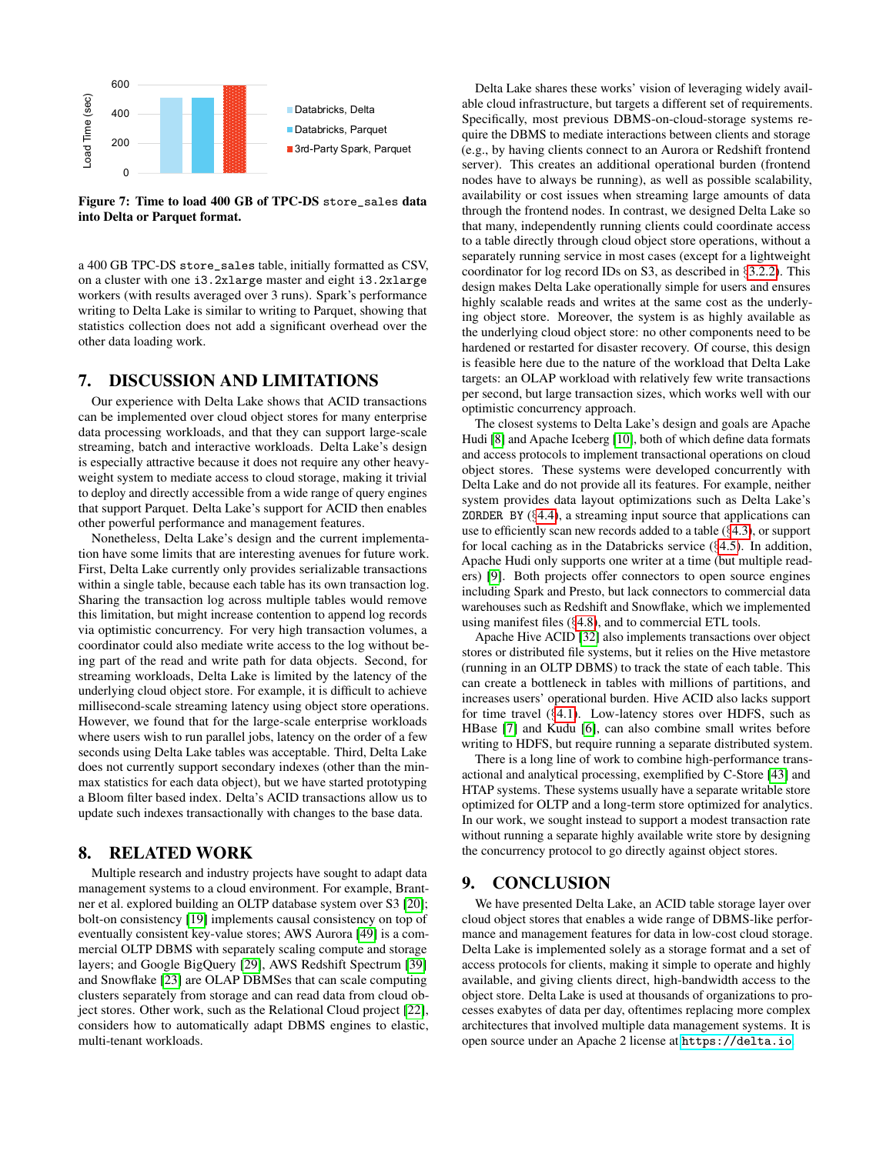<span id="page-11-1"></span>

Figure 7: Time to load 400 GB of TPC-DS store\_sales data into Delta or Parquet format.

a 400 GB TPC-DS store\_sales table, initially formatted as CSV, on a cluster with one i3.2xlarge master and eight i3.2xlarge workers (with results averaged over 3 runs). Spark's performance writing to Delta Lake is similar to writing to Parquet, showing that statistics collection does not add a significant overhead over the other data loading work.

#### 7. DISCUSSION AND LIMITATIONS

Our experience with Delta Lake shows that ACID transactions can be implemented over cloud object stores for many enterprise data processing workloads, and that they can support large-scale streaming, batch and interactive workloads. Delta Lake's design is especially attractive because it does not require any other heavyweight system to mediate access to cloud storage, making it trivial to deploy and directly accessible from a wide range of query engines that support Parquet. Delta Lake's support for ACID then enables other powerful performance and management features.

Nonetheless, Delta Lake's design and the current implementation have some limits that are interesting avenues for future work. First, Delta Lake currently only provides serializable transactions within a single table, because each table has its own transaction log. Sharing the transaction log across multiple tables would remove this limitation, but might increase contention to append log records via optimistic concurrency. For very high transaction volumes, a coordinator could also mediate write access to the log without being part of the read and write path for data objects. Second, for streaming workloads, Delta Lake is limited by the latency of the underlying cloud object store. For example, it is difficult to achieve millisecond-scale streaming latency using object store operations. However, we found that for the large-scale enterprise workloads where users wish to run parallel jobs, latency on the order of a few seconds using Delta Lake tables was acceptable. Third, Delta Lake does not currently support secondary indexes (other than the minmax statistics for each data object), but we have started prototyping a Bloom filter based index. Delta's ACID transactions allow us to update such indexes transactionally with changes to the base data.

## <span id="page-11-0"></span>8. RELATED WORK

Multiple research and industry projects have sought to adapt data management systems to a cloud environment. For example, Brantner et al. explored building an OLTP database system over S3 [\[20\]](#page-12-37); bolt-on consistency [\[19\]](#page-12-38) implements causal consistency on top of eventually consistent key-value stores; AWS Aurora [\[49\]](#page-13-8) is a commercial OLTP DBMS with separately scaling compute and storage layers; and Google BigQuery [\[29\]](#page-12-7), AWS Redshift Spectrum [\[39\]](#page-12-8) and Snowflake [\[23\]](#page-12-20) are OLAP DBMSes that can scale computing clusters separately from storage and can read data from cloud object stores. Other work, such as the Relational Cloud project [\[22\]](#page-12-39), considers how to automatically adapt DBMS engines to elastic, multi-tenant workloads.

Delta Lake shares these works' vision of leveraging widely available cloud infrastructure, but targets a different set of requirements. Specifically, most previous DBMS-on-cloud-storage systems require the DBMS to mediate interactions between clients and storage (e.g., by having clients connect to an Aurora or Redshift frontend server). This creates an additional operational burden (frontend nodes have to always be running), as well as possible scalability, availability or cost issues when streaming large amounts of data through the frontend nodes. In contrast, we designed Delta Lake so that many, independently running clients could coordinate access to a table directly through cloud object store operations, without a separately running service in most cases (except for a lightweight coordinator for log record IDs on S3, as described in §[3.2.2\)](#page-5-2). This design makes Delta Lake operationally simple for users and ensures highly scalable reads and writes at the same cost as the underlying object store. Moreover, the system is as highly available as the underlying cloud object store: no other components need to be hardened or restarted for disaster recovery. Of course, this design is feasible here due to the nature of the workload that Delta Lake targets: an OLAP workload with relatively few write transactions per second, but large transaction sizes, which works well with our optimistic concurrency approach.

The closest systems to Delta Lake's design and goals are Apache Hudi [\[8\]](#page-12-22) and Apache Iceberg [\[10\]](#page-12-23), both of which define data formats and access protocols to implement transactional operations on cloud object stores. These systems were developed concurrently with Delta Lake and do not provide all its features. For example, neither system provides data layout optimizations such as Delta Lake's ZORDER BY  $(§4.4)$  $(§4.4)$ , a streaming input source that applications can use to efficiently scan new records added to a table (§[4.3\)](#page-6-0), or support for local caching as in the Databricks service (§[4.5\)](#page-7-3). In addition, Apache Hudi only supports one writer at a time (but multiple readers) [\[9\]](#page-12-40). Both projects offer connectors to open source engines including Spark and Presto, but lack connectors to commercial data warehouses such as Redshift and Snowflake, which we implemented using manifest files (§[4.8\)](#page-8-1), and to commercial ETL tools.

Apache Hive ACID [\[32\]](#page-12-21) also implements transactions over object stores or distributed file systems, but it relies on the Hive metastore (running in an OLTP DBMS) to track the state of each table. This can create a bottleneck in tables with millions of partitions, and increases users' operational burden. Hive ACID also lacks support for time travel (§[4.1\)](#page-6-1). Low-latency stores over HDFS, such as HBase [\[7\]](#page-12-41) and Kudu [\[6\]](#page-12-42), can also combine small writes before writing to HDFS, but require running a separate distributed system.

There is a long line of work to combine high-performance transactional and analytical processing, exemplified by C-Store [\[43\]](#page-12-30) and HTAP systems. These systems usually have a separate writable store optimized for OLTP and a long-term store optimized for analytics. In our work, we sought instead to support a modest transaction rate without running a separate highly available write store by designing the concurrency protocol to go directly against object stores.

#### 9. CONCLUSION

We have presented Delta Lake, an ACID table storage layer over cloud object stores that enables a wide range of DBMS-like performance and management features for data in low-cost cloud storage. Delta Lake is implemented solely as a storage format and a set of access protocols for clients, making it simple to operate and highly available, and giving clients direct, high-bandwidth access to the object store. Delta Lake is used at thousands of organizations to processes exabytes of data per day, oftentimes replacing more complex architectures that involved multiple data management systems. It is open source under an Apache 2 license at <https://delta.io>.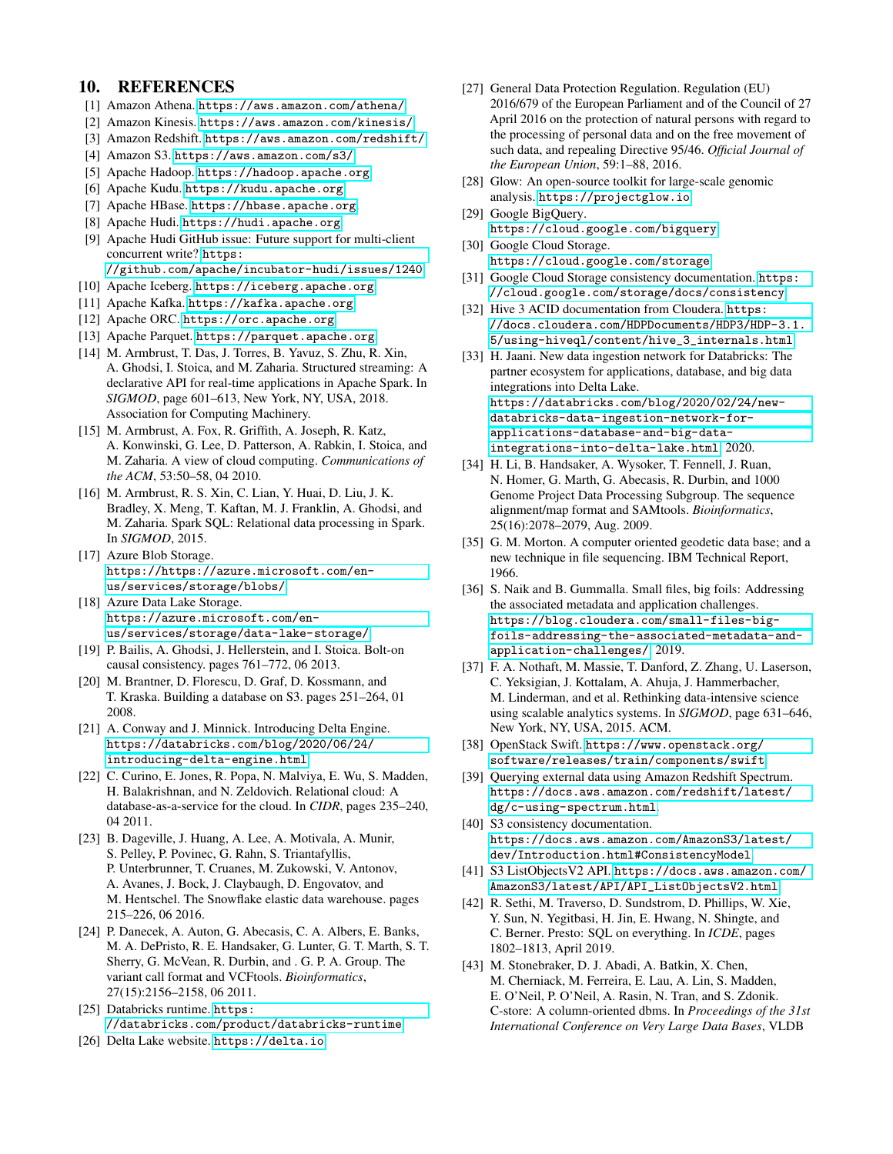# 10. REFERENCES

- <span id="page-12-6"></span>[1] Amazon Athena. <https://aws.amazon.com/athena/>.
- <span id="page-12-26"></span>[2] Amazon Kinesis. <https://aws.amazon.com/kinesis/>.
- <span id="page-12-29"></span>[3] Amazon Redshift. <https://aws.amazon.com/redshift/>.
- <span id="page-12-0"></span>[4] Amazon S3. <https://aws.amazon.com/s3/>.
- <span id="page-12-9"></span>[5] Apache Hadoop. <https://hadoop.apache.org>.
- <span id="page-12-42"></span>[6] Apache Kudu. <https://kudu.apache.org>.
- <span id="page-12-41"></span>[7] Apache HBase. <https://hbase.apache.org>.
- <span id="page-12-22"></span>[8] Apache Hudi. <https://hudi.apache.org>.
- <span id="page-12-40"></span>[9] Apache Hudi GitHub issue: Future support for multi-client concurrent write? [https:](https://github.com/apache/incubator-hudi/issues/1240)

[//github.com/apache/incubator-hudi/issues/1240](https://github.com/apache/incubator-hudi/issues/1240).

- <span id="page-12-23"></span>[10] Apache Iceberg. <https://iceberg.apache.org>.
- <span id="page-12-25"></span>[11] Apache Kafka. <https://kafka.apache.org>.
- <span id="page-12-5"></span>[12] Apache ORC. <https://orc.apache.org>.
- <span id="page-12-4"></span>[13] Apache Parquet. <https://parquet.apache.org>.
- <span id="page-12-24"></span>[14] M. Armbrust, T. Das, J. Torres, B. Yavuz, S. Zhu, R. Xin, A. Ghodsi, I. Stoica, and M. Zaharia. Structured streaming: A declarative API for real-time applications in Apache Spark. In *SIGMOD*, page 601–613, New York, NY, USA, 2018. Association for Computing Machinery.
- <span id="page-12-2"></span>[15] M. Armbrust, A. Fox, R. Griffith, A. Joseph, R. Katz, A. Konwinski, G. Lee, D. Patterson, A. Rabkin, I. Stoica, and M. Zaharia. A view of cloud computing. *Communications of the ACM*, 53:50–58, 04 2010.
- <span id="page-12-28"></span>[16] M. Armbrust, R. S. Xin, C. Lian, Y. Huai, D. Liu, J. K. Bradley, X. Meng, T. Kaftan, M. J. Franklin, A. Ghodsi, and M. Zaharia. Spark SQL: Relational data processing in Spark. In *SIGMOD*, 2015.
- <span id="page-12-1"></span>[17] Azure Blob Storage. [https://https://azure.microsoft.com/en](https://https://azure.microsoft.com/en-us/services/storage/blobs/)[us/services/storage/blobs/](https://https://azure.microsoft.com/en-us/services/storage/blobs/).
- <span id="page-12-16"></span>[18] Azure Data Lake Storage. [https://azure.microsoft.com/en](https://azure.microsoft.com/en-us/services/storage/data-lake-storage/)[us/services/storage/data-lake-storage/](https://azure.microsoft.com/en-us/services/storage/data-lake-storage/).
- <span id="page-12-38"></span>[19] P. Bailis, A. Ghodsi, J. Hellerstein, and I. Stoica. Bolt-on causal consistency. pages 761–772, 06 2013.
- <span id="page-12-37"></span>[20] M. Brantner, D. Florescu, D. Graf, D. Kossmann, and T. Kraska. Building a database on S3. pages 251–264, 01 2008.
- <span id="page-12-31"></span>[21] A. Conway and J. Minnick. Introducing Delta Engine. [https://databricks.com/blog/2020/06/24/](https://databricks.com/blog/2020/06/24/introducing-delta-engine.html) [introducing-delta-engine.html](https://databricks.com/blog/2020/06/24/introducing-delta-engine.html).
- <span id="page-12-39"></span>[22] C. Curino, E. Jones, R. Popa, N. Malviya, E. Wu, S. Madden, H. Balakrishnan, and N. Zeldovich. Relational cloud: A database-as-a-service for the cloud. In *CIDR*, pages 235–240, 04 2011.
- <span id="page-12-20"></span>[23] B. Dageville, J. Huang, A. Lee, A. Motivala, A. Munir, S. Pelley, P. Povinec, G. Rahn, S. Triantafyllis, P. Unterbrunner, T. Cruanes, M. Zukowski, V. Antonov, A. Avanes, J. Bock, J. Claybaugh, D. Engovatov, and M. Hentschel. The Snowflake elastic data warehouse. pages 215–226, 06 2016.
- <span id="page-12-33"></span>[24] P. Danecek, A. Auton, G. Abecasis, C. A. Albers, E. Banks, M. A. DePristo, R. E. Handsaker, G. Lunter, G. T. Marth, S. T. Sherry, G. McVean, R. Durbin, and . G. P. A. Group. The variant call format and VCFtools. *Bioinformatics*, 27(15):2156–2158, 06 2011.
- <span id="page-12-36"></span>[25] Databricks runtime. [https:](https://databricks.com/product/databricks-runtime) [//databricks.com/product/databricks-runtime](https://databricks.com/product/databricks-runtime).
- <span id="page-12-11"></span>[26] Delta Lake website. <https://delta.io>.
- <span id="page-12-10"></span>[27] General Data Protection Regulation. Regulation (EU) 2016/679 of the European Parliament and of the Council of 27 April 2016 on the protection of natural persons with regard to the processing of personal data and on the free movement of such data, and repealing Directive 95/46. *Official Journal of the European Union*, 59:1–88, 2016.
- <span id="page-12-35"></span>[28] Glow: An open-source toolkit for large-scale genomic analysis. <https://projectglow.io>.
- <span id="page-12-7"></span>[29] Google BigQuery. <https://cloud.google.com/bigquery>.
- <span id="page-12-13"></span>[30] Google Cloud Storage. <https://cloud.google.com/storage>.
- <span id="page-12-19"></span>[31] Google Cloud Storage consistency documentation. [https:](https://cloud.google.com/storage/docs/consistency) [//cloud.google.com/storage/docs/consistency](https://cloud.google.com/storage/docs/consistency).
- <span id="page-12-21"></span>[32] Hive 3 ACID documentation from Cloudera. [https:](https://docs.cloudera.com/HDPDocuments/HDP3/HDP-3.1.5/using-hiveql/content/hive_3_internals.html) [//docs.cloudera.com/HDPDocuments/HDP3/HDP-3.1.](https://docs.cloudera.com/HDPDocuments/HDP3/HDP-3.1.5/using-hiveql/content/hive_3_internals.html) [5/using-hiveql/content/hive\\_3\\_internals.html](https://docs.cloudera.com/HDPDocuments/HDP3/HDP-3.1.5/using-hiveql/content/hive_3_internals.html).
- <span id="page-12-12"></span>[33] H. Jaani. New data ingestion network for Databricks: The partner ecosystem for applications, database, and big data integrations into Delta Lake. [https://databricks.com/blog/2020/02/24/new](https://databricks.com/blog/2020/02/24/new-databricks-data-ingestion-network-for-applications-database-and-big-data-integrations-into-delta-lake.html)[databricks-data-ingestion-network-for](https://databricks.com/blog/2020/02/24/new-databricks-data-ingestion-network-for-applications-database-and-big-data-integrations-into-delta-lake.html)[applications-database-and-big-data](https://databricks.com/blog/2020/02/24/new-databricks-data-ingestion-network-for-applications-database-and-big-data-integrations-into-delta-lake.html)[integrations-into-delta-lake.html](https://databricks.com/blog/2020/02/24/new-databricks-data-ingestion-network-for-applications-database-and-big-data-integrations-into-delta-lake.html), 2020.
- <span id="page-12-32"></span>[34] H. Li, B. Handsaker, A. Wysoker, T. Fennell, J. Ruan, N. Homer, G. Marth, G. Abecasis, R. Durbin, and 1000 Genome Project Data Processing Subgroup. The sequence alignment/map format and SAMtools. *Bioinformatics*, 25(16):2078–2079, Aug. 2009.
- <span id="page-12-27"></span>[35] G. M. Morton. A computer oriented geodetic data base; and a new technique in file sequencing. IBM Technical Report, 1966.
- <span id="page-12-17"></span>[36] S. Naik and B. Gummalla. Small files, big foils: Addressing the associated metadata and application challenges. [https://blog.cloudera.com/small-files-big](https://blog.cloudera.com/small-files-big-foils-addressing-the-associated-metadata-and-application-challenges/)[foils-addressing-the-associated-metadata-and](https://blog.cloudera.com/small-files-big-foils-addressing-the-associated-metadata-and-application-challenges/)[application-challenges/](https://blog.cloudera.com/small-files-big-foils-addressing-the-associated-metadata-and-application-challenges/), 2019.
- <span id="page-12-34"></span>[37] F. A. Nothaft, M. Massie, T. Danford, Z. Zhang, U. Laserson, C. Yeksigian, J. Kottalam, A. Ahuja, J. Hammerbacher, M. Linderman, and et al. Rethinking data-intensive science using scalable analytics systems. In *SIGMOD*, page 631–646, New York, NY, USA, 2015. ACM.
- <span id="page-12-14"></span>[38] OpenStack Swift. [https://www.openstack.org/](https://www.openstack.org/software/releases/train/components/swift) [software/releases/train/components/swift](https://www.openstack.org/software/releases/train/components/swift).
- <span id="page-12-8"></span>[39] Querying external data using Amazon Redshift Spectrum. [https://docs.aws.amazon.com/redshift/latest/](https://docs.aws.amazon.com/redshift/latest/dg/c-using-spectrum.html) [dg/c-using-spectrum.html](https://docs.aws.amazon.com/redshift/latest/dg/c-using-spectrum.html).
- <span id="page-12-18"></span>[40] S3 consistency documentation. [https://docs.aws.amazon.com/AmazonS3/latest/](https://docs.aws.amazon.com/AmazonS3/latest/dev/Introduction.html#ConsistencyModel) [dev/Introduction.html#ConsistencyModel](https://docs.aws.amazon.com/AmazonS3/latest/dev/Introduction.html#ConsistencyModel).
- <span id="page-12-15"></span>[41] S3 ListObjectsV2 API. [https://docs.aws.amazon.com/](https://docs.aws.amazon.com/AmazonS3/latest/API/API_ListObjectsV2.html) [AmazonS3/latest/API/API\\_ListObjectsV2.html](https://docs.aws.amazon.com/AmazonS3/latest/API/API_ListObjectsV2.html).
- <span id="page-12-3"></span>[42] R. Sethi, M. Traverso, D. Sundstrom, D. Phillips, W. Xie, Y. Sun, N. Yegitbasi, H. Jin, E. Hwang, N. Shingte, and C. Berner. Presto: SQL on everything. In *ICDE*, pages 1802–1813, April 2019.
- <span id="page-12-30"></span>[43] M. Stonebraker, D. J. Abadi, A. Batkin, X. Chen, M. Cherniack, M. Ferreira, E. Lau, A. Lin, S. Madden, E. O'Neil, P. O'Neil, A. Rasin, N. Tran, and S. Zdonik. C-store: A column-oriented dbms. In *Proceedings of the 31st International Conference on Very Large Data Bases*, VLDB